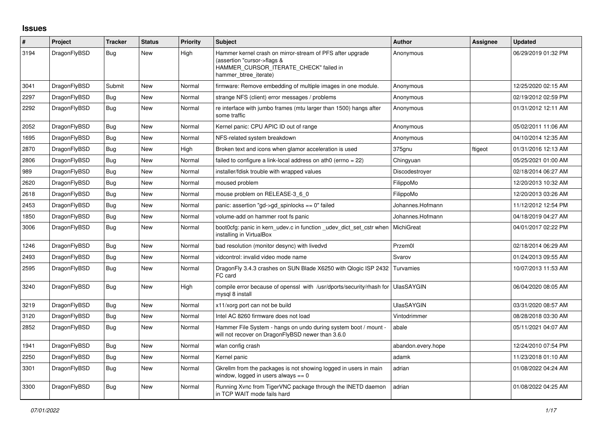## **Issues**

| #    | Project      | Tracker    | <b>Status</b> | <b>Priority</b> | <b>Subject</b>                                                                                                                                              | <b>Author</b>      | Assignee | <b>Updated</b>      |
|------|--------------|------------|---------------|-----------------|-------------------------------------------------------------------------------------------------------------------------------------------------------------|--------------------|----------|---------------------|
| 3194 | DragonFlyBSD | Bug        | New           | High            | Hammer kernel crash on mirror-stream of PFS after upgrade<br>(assertion "cursor->flags &<br>HAMMER_CURSOR_ITERATE_CHECK" failed in<br>hammer_btree_iterate) | Anonymous          |          | 06/29/2019 01:32 PM |
| 3041 | DragonFlyBSD | Submit     | New           | Normal          | firmware: Remove embedding of multiple images in one module.                                                                                                | Anonymous          |          | 12/25/2020 02:15 AM |
| 2297 | DragonFlyBSD | <b>Bug</b> | <b>New</b>    | Normal          | strange NFS (client) error messages / problems                                                                                                              | Anonymous          |          | 02/19/2012 02:59 PM |
| 2292 | DragonFlyBSD | <b>Bug</b> | New           | Normal          | re interface with jumbo frames (mtu larger than 1500) hangs after<br>some traffic                                                                           | Anonymous          |          | 01/31/2012 12:11 AM |
| 2052 | DragonFlyBSD | Bug        | New           | Normal          | Kernel panic: CPU APIC ID out of range                                                                                                                      | Anonymous          |          | 05/02/2011 11:06 AM |
| 1695 | DragonFlyBSD | Bug        | New           | Normal          | NFS-related system breakdown                                                                                                                                | Anonymous          |          | 04/10/2014 12:35 AM |
| 2870 | DragonFlyBSD | Bug        | New           | High            | Broken text and icons when glamor acceleration is used                                                                                                      | 375gnu             | ftigeot  | 01/31/2016 12:13 AM |
| 2806 | DragonFlyBSD | Bug        | New           | Normal          | failed to configure a link-local address on ath0 (errno = 22)                                                                                               | Chingyuan          |          | 05/25/2021 01:00 AM |
| 989  | DragonFlyBSD | Bug        | New           | Normal          | installer/fdisk trouble with wrapped values                                                                                                                 | Discodestroyer     |          | 02/18/2014 06:27 AM |
| 2620 | DragonFlyBSD | <b>Bug</b> | New           | Normal          | moused problem                                                                                                                                              | FilippoMo          |          | 12/20/2013 10:32 AM |
| 2618 | DragonFlyBSD | <b>Bug</b> | New           | Normal          | mouse problem on RELEASE-3_6_0                                                                                                                              | FilippoMo          |          | 12/20/2013 03:26 AM |
| 2453 | DragonFlyBSD | Bug        | New           | Normal          | panic: assertion "gd->gd_spinlocks == $0$ " failed                                                                                                          | Johannes.Hofmann   |          | 11/12/2012 12:54 PM |
| 1850 | DragonFlyBSD | <b>Bug</b> | New           | Normal          | volume-add on hammer root fs panic                                                                                                                          | Johannes.Hofmann   |          | 04/18/2019 04:27 AM |
| 3006 | DragonFlyBSD | <b>Bug</b> | <b>New</b>    | Normal          | boot0cfg: panic in kern udev.c in function udev dict set cstr when<br>installing in VirtualBox                                                              | MichiGreat         |          | 04/01/2017 02:22 PM |
| 1246 | DragonFlyBSD | Bug        | New           | Normal          | bad resolution (monitor desync) with livedvd                                                                                                                | Przem0l            |          | 02/18/2014 06:29 AM |
| 2493 | DragonFlyBSD | <b>Bug</b> | New           | Normal          | vidcontrol: invalid video mode name                                                                                                                         | Svarov             |          | 01/24/2013 09:55 AM |
| 2595 | DragonFlyBSD | Bug        | New           | Normal          | DragonFly 3.4.3 crashes on SUN Blade X6250 with Qlogic ISP 2432 Turvamies<br>FC card                                                                        |                    |          | 10/07/2013 11:53 AM |
| 3240 | DragonFlyBSD | <b>Bug</b> | <b>New</b>    | High            | compile error because of openssl with /usr/dports/security/rhash for UlasSAYGIN<br>mysql 8 install                                                          |                    |          | 06/04/2020 08:05 AM |
| 3219 | DragonFlyBSD | <b>Bug</b> | <b>New</b>    | Normal          | x11/xorg port can not be build                                                                                                                              | <b>UlasSAYGIN</b>  |          | 03/31/2020 08:57 AM |
| 3120 | DragonFlyBSD | Bug        | New           | Normal          | Intel AC 8260 firmware does not load                                                                                                                        | Vintodrimmer       |          | 08/28/2018 03:30 AM |
| 2852 | DragonFlyBSD | <b>Bug</b> | New           | Normal          | Hammer File System - hangs on undo during system boot / mount -<br>will not recover on DragonFlyBSD newer than 3.6.0                                        | abale              |          | 05/11/2021 04:07 AM |
| 1941 | DragonFlyBSD | <b>Bug</b> | New           | Normal          | wlan config crash                                                                                                                                           | abandon.every.hope |          | 12/24/2010 07:54 PM |
| 2250 | DragonFlyBSD | Bug        | New           | Normal          | Kernel panic                                                                                                                                                | adamk              |          | 11/23/2018 01:10 AM |
| 3301 | DragonFlyBSD | Bug        | New           | Normal          | Gkrellm from the packages is not showing logged in users in main<br>window, logged in users always $== 0$                                                   | adrian             |          | 01/08/2022 04:24 AM |
| 3300 | DragonFlyBSD | Bug        | <b>New</b>    | Normal          | Running Xvnc from TigerVNC package through the INETD daemon<br>in TCP WAIT mode fails hard                                                                  | adrian             |          | 01/08/2022 04:25 AM |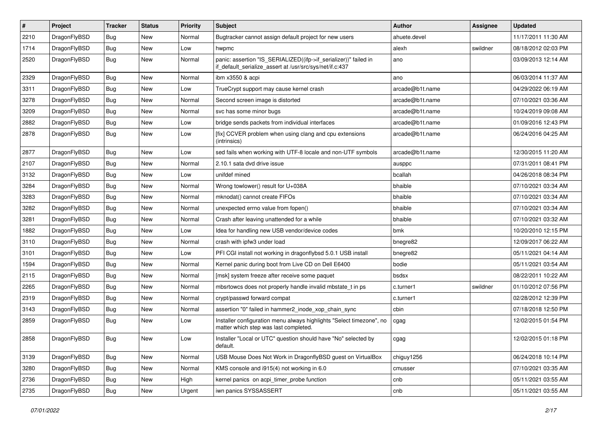| $\sharp$ | Project      | <b>Tracker</b> | <b>Status</b> | <b>Priority</b> | Subject                                                                                                                      | Author          | Assignee | <b>Updated</b>      |
|----------|--------------|----------------|---------------|-----------------|------------------------------------------------------------------------------------------------------------------------------|-----------------|----------|---------------------|
| 2210     | DragonFlyBSD | <b>Bug</b>     | New           | Normal          | Bugtracker cannot assign default project for new users                                                                       | ahuete.devel    |          | 11/17/2011 11:30 AM |
| 1714     | DragonFlyBSD | <b>Bug</b>     | New           | Low             | hwpmc                                                                                                                        | alexh           | swildner | 08/18/2012 02:03 PM |
| 2520     | DragonFlyBSD | <b>Bug</b>     | New           | Normal          | panic: assertion "IS_SERIALIZED((ifp->if_serializer))" failed in<br>if default serialize assert at /usr/src/sys/net/if.c:437 | ano             |          | 03/09/2013 12:14 AM |
| 2329     | DragonFlyBSD | Bug            | <b>New</b>    | Normal          | ibm x3550 & acpi                                                                                                             | ano             |          | 06/03/2014 11:37 AM |
| 3311     | DragonFlyBSD | <b>Bug</b>     | New           | Low             | TrueCrypt support may cause kernel crash                                                                                     | arcade@b1t.name |          | 04/29/2022 06:19 AM |
| 3278     | DragonFlyBSD | <b>Bug</b>     | New           | Normal          | Second screen image is distorted                                                                                             | arcade@b1t.name |          | 07/10/2021 03:36 AM |
| 3209     | DragonFlyBSD | <b>Bug</b>     | New           | Normal          | svc has some minor bugs                                                                                                      | arcade@b1t.name |          | 10/24/2019 09:08 AM |
| 2882     | DragonFlyBSD | <b>Bug</b>     | New           | Low             | bridge sends packets from individual interfaces                                                                              | arcade@b1t.name |          | 01/09/2016 12:43 PM |
| 2878     | DragonFlyBSD | <b>Bug</b>     | <b>New</b>    | Low             | [fix] CCVER problem when using clang and cpu extensions<br>(intrinsics)                                                      | arcade@b1t.name |          | 06/24/2016 04:25 AM |
| 2877     | DragonFlyBSD | <b>Bug</b>     | <b>New</b>    | Low             | sed fails when working with UTF-8 locale and non-UTF symbols                                                                 | arcade@b1t.name |          | 12/30/2015 11:20 AM |
| 2107     | DragonFlyBSD | <b>Bug</b>     | New           | Normal          | 2.10.1 sata dvd drive issue                                                                                                  | ausppc          |          | 07/31/2011 08:41 PM |
| 3132     | DragonFlyBSD | <b>Bug</b>     | New           | Low             | unifdef mined                                                                                                                | bcallah         |          | 04/26/2018 08:34 PM |
| 3284     | DragonFlyBSD | <b>Bug</b>     | New           | Normal          | Wrong towlower() result for U+038A                                                                                           | bhaible         |          | 07/10/2021 03:34 AM |
| 3283     | DragonFlyBSD | <b>Bug</b>     | New           | Normal          | mknodat() cannot create FIFOs                                                                                                | bhaible         |          | 07/10/2021 03:34 AM |
| 3282     | DragonFlyBSD | <b>Bug</b>     | New           | Normal          | unexpected errno value from fopen()                                                                                          | bhaible         |          | 07/10/2021 03:34 AM |
| 3281     | DragonFlyBSD | Bug            | <b>New</b>    | Normal          | Crash after leaving unattended for a while                                                                                   | bhaible         |          | 07/10/2021 03:32 AM |
| 1882     | DragonFlyBSD | <b>Bug</b>     | New           | Low             | Idea for handling new USB vendor/device codes                                                                                | bmk             |          | 10/20/2010 12:15 PM |
| 3110     | DragonFlyBSD | <b>Bug</b>     | New           | Normal          | crash with ipfw3 under load                                                                                                  | bnegre82        |          | 12/09/2017 06:22 AM |
| 3101     | DragonFlyBSD | <b>Bug</b>     | New           | Low             | PFI CGI install not working in dragonflybsd 5.0.1 USB install                                                                | bnegre82        |          | 05/11/2021 04:14 AM |
| 1594     | DragonFlyBSD | <b>Bug</b>     | New           | Normal          | Kernel panic during boot from Live CD on Dell E6400                                                                          | bodie           |          | 05/11/2021 03:54 AM |
| 2115     | DragonFlyBSD | Bug            | New           | Normal          | [msk] system freeze after receive some paquet                                                                                | bsdsx           |          | 08/22/2011 10:22 AM |
| 2265     | DragonFlyBSD | <b>Bug</b>     | New           | Normal          | mbsrtowcs does not properly handle invalid mbstate t in ps                                                                   | c.turner1       | swildner | 01/10/2012 07:56 PM |
| 2319     | DragonFlyBSD | <b>Bug</b>     | <b>New</b>    | Normal          | crypt/passwd forward compat                                                                                                  | c.turner1       |          | 02/28/2012 12:39 PM |
| 3143     | DragonFlyBSD | <b>Bug</b>     | New           | Normal          | assertion "0" failed in hammer2_inode_xop_chain_sync                                                                         | cbin            |          | 07/18/2018 12:50 PM |
| 2859     | DragonFlyBSD | <b>Bug</b>     | <b>New</b>    | Low             | Installer configuration menu always highlights "Select timezone", no<br>matter which step was last completed.                | cgag            |          | 12/02/2015 01:54 PM |
| 2858     | DragonFlyBSD | <b>Bug</b>     | <b>New</b>    | Low             | Installer "Local or UTC" question should have "No" selected by<br>default.                                                   | cgag            |          | 12/02/2015 01:18 PM |
| 3139     | DragonFlyBSD | <b>Bug</b>     | New           | Normal          | USB Mouse Does Not Work in DragonflyBSD guest on VirtualBox                                                                  | chiguy1256      |          | 06/24/2018 10:14 PM |
| 3280     | DragonFlyBSD | <b>Bug</b>     | New           | Normal          | KMS console and i915(4) not working in 6.0                                                                                   | cmusser         |          | 07/10/2021 03:35 AM |
| 2736     | DragonFlyBSD | <b>Bug</b>     | New           | High            | kernel panics on acpi timer probe function                                                                                   | cnb             |          | 05/11/2021 03:55 AM |
| 2735     | DragonFlyBSD | <b>Bug</b>     | New           | Urgent          | iwn panics SYSSASSERT                                                                                                        | cnb             |          | 05/11/2021 03:55 AM |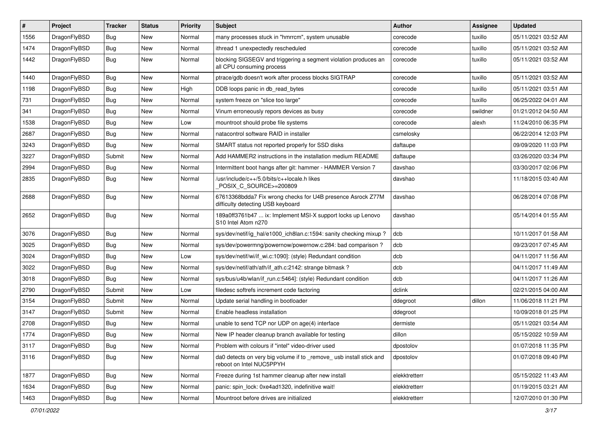| #    | Project      | <b>Tracker</b> | <b>Status</b> | <b>Priority</b> | <b>Subject</b>                                                                                   | Author        | Assignee | <b>Updated</b>      |
|------|--------------|----------------|---------------|-----------------|--------------------------------------------------------------------------------------------------|---------------|----------|---------------------|
| 1556 | DragonFlyBSD | <b>Bug</b>     | <b>New</b>    | Normal          | many processes stuck in "hmrrcm", system unusable                                                | corecode      | tuxillo  | 05/11/2021 03:52 AM |
| 1474 | DragonFlyBSD | <b>Bug</b>     | <b>New</b>    | Normal          | ithread 1 unexpectedly rescheduled                                                               | corecode      | tuxillo  | 05/11/2021 03:52 AM |
| 1442 | DragonFlyBSD | <b>Bug</b>     | New           | Normal          | blocking SIGSEGV and triggering a segment violation produces an<br>all CPU consuming process     | corecode      | tuxillo  | 05/11/2021 03:52 AM |
| 1440 | DragonFlyBSD | Bug            | <b>New</b>    | Normal          | ptrace/gdb doesn't work after process blocks SIGTRAP                                             | corecode      | tuxillo  | 05/11/2021 03:52 AM |
| 1198 | DragonFlyBSD | <b>Bug</b>     | New           | High            | DDB loops panic in db read bytes                                                                 | corecode      | tuxillo  | 05/11/2021 03:51 AM |
| 731  | DragonFlyBSD | Bug            | <b>New</b>    | Normal          | system freeze on "slice too large"                                                               | corecode      | tuxillo  | 06/25/2022 04:01 AM |
| 341  | DragonFlyBSD | <b>Bug</b>     | New           | Normal          | Vinum erroneously repors devices as busy                                                         | corecode      | swildner | 01/21/2012 04:50 AM |
| 1538 | DragonFlyBSD | <b>Bug</b>     | <b>New</b>    | Low             | mountroot should probe file systems                                                              | corecode      | alexh    | 11/24/2010 06:35 PM |
| 2687 | DragonFlyBSD | <b>Bug</b>     | <b>New</b>    | Normal          | natacontrol software RAID in installer                                                           | csmelosky     |          | 06/22/2014 12:03 PM |
| 3243 | DragonFlyBSD | Bug            | <b>New</b>    | Normal          | SMART status not reported properly for SSD disks                                                 | daftaupe      |          | 09/09/2020 11:03 PM |
| 3227 | DragonFlyBSD | Submit         | <b>New</b>    | Normal          | Add HAMMER2 instructions in the installation medium README                                       | daftaupe      |          | 03/26/2020 03:34 PM |
| 2994 | DragonFlyBSD | <b>Bug</b>     | New           | Normal          | Intermittent boot hangs after git: hammer - HAMMER Version 7                                     | davshao       |          | 03/30/2017 02:06 PM |
| 2835 | DragonFlyBSD | Bug            | New           | Normal          | /usr/include/c++/5.0/bits/c++locale.h likes<br>POSIX C_SOURCE>=200809                            | davshao       |          | 11/18/2015 03:40 AM |
| 2688 | DragonFlyBSD | <b>Bug</b>     | New           | Normal          | 67613368bdda7 Fix wrong checks for U4B presence Asrock Z77M<br>difficulty detecting USB keyboard | davshao       |          | 06/28/2014 07:08 PM |
| 2652 | DragonFlyBSD | <b>Bug</b>     | New           | Normal          | 189a0ff3761b47  ix: Implement MSI-X support locks up Lenovo<br>S10 Intel Atom n270               | davshao       |          | 05/14/2014 01:55 AM |
| 3076 | DragonFlyBSD | Bug            | <b>New</b>    | Normal          | sys/dev/netif/ig_hal/e1000_ich8lan.c:1594: sanity checking mixup?                                | dcb           |          | 10/11/2017 01:58 AM |
| 3025 | DragonFlyBSD | Bug            | <b>New</b>    | Normal          | sys/dev/powermng/powernow/powernow.c:284: bad comparison?                                        | dcb           |          | 09/23/2017 07:45 AM |
| 3024 | DragonFlyBSD | <b>Bug</b>     | New           | Low             | sys/dev/netif/wi/if wi.c:1090]: (style) Redundant condition                                      | dcb           |          | 04/11/2017 11:56 AM |
| 3022 | DragonFlyBSD | Bug            | <b>New</b>    | Normal          | sys/dev/netif/ath/ath/if ath.c:2142: strange bitmask?                                            | dcb           |          | 04/11/2017 11:49 AM |
| 3018 | DragonFlyBSD | <b>Bug</b>     | New           | Normal          | sys/bus/u4b/wlan/if run.c:5464]: (style) Redundant condition                                     | dcb           |          | 04/11/2017 11:26 AM |
| 2790 | DragonFlyBSD | Submit         | <b>New</b>    | Low             | filedesc softrefs increment code factoring                                                       | dclink        |          | 02/21/2015 04:00 AM |
| 3154 | DragonFlyBSD | Submit         | <b>New</b>    | Normal          | Update serial handling in bootloader                                                             | ddegroot      | dillon   | 11/06/2018 11:21 PM |
| 3147 | DragonFlyBSD | Submit         | New           | Normal          | Enable headless installation                                                                     | ddegroot      |          | 10/09/2018 01:25 PM |
| 2708 | DragonFlyBSD | Bug            | <b>New</b>    | Normal          | unable to send TCP nor UDP on age(4) interface                                                   | dermiste      |          | 05/11/2021 03:54 AM |
| 1774 | DragonFlyBSD | <b>Bug</b>     | New           | Normal          | New IP header cleanup branch available for testing                                               | dillon        |          | 05/15/2022 10:59 AM |
| 3117 | DragonFlyBSD | <b>Bug</b>     | New           | Normal          | Problem with colours if "intel" video-driver used                                                | dpostolov     |          | 01/07/2018 11:35 PM |
| 3116 | DragonFlyBSD | Bug            | New           | Normal          | da0 detects on very big volume if to _remove_ usb install stick and<br>reboot on Intel NUC5PPYH  | dpostolov     |          | 01/07/2018 09:40 PM |
| 1877 | DragonFlyBSD | Bug            | New           | Normal          | Freeze during 1st hammer cleanup after new install                                               | elekktretterr |          | 05/15/2022 11:43 AM |
| 1634 | DragonFlyBSD | Bug            | New           | Normal          | panic: spin_lock: 0xe4ad1320, indefinitive wait!                                                 | elekktretterr |          | 01/19/2015 03:21 AM |
| 1463 | DragonFlyBSD | Bug            | New           | Normal          | Mountroot before drives are initialized                                                          | elekktretterr |          | 12/07/2010 01:30 PM |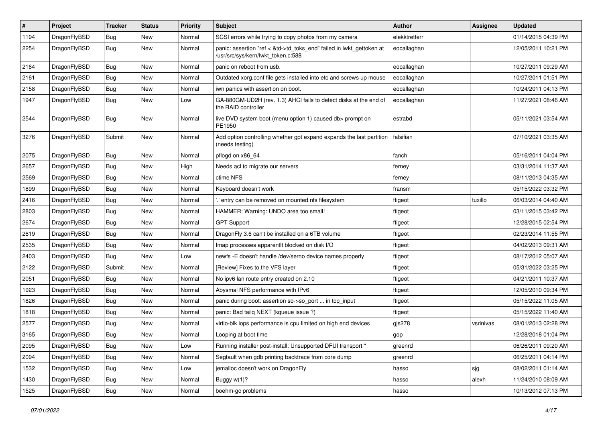| $\sharp$ | Project      | <b>Tracker</b> | <b>Status</b> | <b>Priority</b> | Subject                                                                                                    | Author        | Assignee  | <b>Updated</b>      |
|----------|--------------|----------------|---------------|-----------------|------------------------------------------------------------------------------------------------------------|---------------|-----------|---------------------|
| 1194     | DragonFlyBSD | <b>Bug</b>     | New           | Normal          | SCSI errors while trying to copy photos from my camera                                                     | elekktretterr |           | 01/14/2015 04:39 PM |
| 2254     | DragonFlyBSD | Bug            | New           | Normal          | panic: assertion "ref < &td->td_toks_end" failed in lwkt_gettoken at<br>/usr/src/sys/kern/lwkt_token.c:588 | eocallaghan   |           | 12/05/2011 10:21 PM |
| 2164     | DragonFlyBSD | <b>Bug</b>     | <b>New</b>    | Normal          | panic on reboot from usb.                                                                                  | eocallaghan   |           | 10/27/2011 09:29 AM |
| 2161     | DragonFlyBSD | <b>Bug</b>     | <b>New</b>    | Normal          | Outdated xorg.conf file gets installed into etc and screws up mouse                                        | eocallaghan   |           | 10/27/2011 01:51 PM |
| 2158     | DragonFlyBSD | <b>Bug</b>     | New           | Normal          | iwn panics with assertion on boot.                                                                         | eocallaghan   |           | 10/24/2011 04:13 PM |
| 1947     | DragonFlyBSD | <b>Bug</b>     | New           | Low             | GA-880GM-UD2H (rev. 1.3) AHCI fails to detect disks at the end of<br>the RAID controller                   | eocallaghan   |           | 11/27/2021 08:46 AM |
| 2544     | DragonFlyBSD | <b>Bug</b>     | New           | Normal          | live DVD system boot (menu option 1) caused db> prompt on<br>PE1950                                        | estrabd       |           | 05/11/2021 03:54 AM |
| 3276     | DragonFlyBSD | Submit         | <b>New</b>    | Normal          | Add option controlling whether gpt expand expands the last partition<br>(needs testing)                    | falsifian     |           | 07/10/2021 03:35 AM |
| 2075     | DragonFlyBSD | <b>Bug</b>     | New           | Normal          | pflogd on x86_64                                                                                           | fanch         |           | 05/16/2011 04:04 PM |
| 2657     | DragonFlyBSD | <b>Bug</b>     | New           | High            | Needs acl to migrate our servers                                                                           | ferney        |           | 03/31/2014 11:37 AM |
| 2569     | DragonFlyBSD | <b>Bug</b>     | New           | Normal          | ctime NFS                                                                                                  | ferney        |           | 08/11/2013 04:35 AM |
| 1899     | DragonFlyBSD | <b>Bug</b>     | New           | Normal          | Keyboard doesn't work                                                                                      | fransm        |           | 05/15/2022 03:32 PM |
| 2416     | DragonFlyBSD | <b>Bug</b>     | <b>New</b>    | Normal          | ".' entry can be removed on mounted nfs filesystem                                                         | ftigeot       | tuxillo   | 06/03/2014 04:40 AM |
| 2803     | DragonFlyBSD | <b>Bug</b>     | New           | Normal          | HAMMER: Warning: UNDO area too small!                                                                      | ftigeot       |           | 03/11/2015 03:42 PM |
| 2674     | DragonFlyBSD | <b>Bug</b>     | <b>New</b>    | Normal          | <b>GPT Support</b>                                                                                         | ftigeot       |           | 12/28/2015 02:54 PM |
| 2619     | DragonFlyBSD | <b>Bug</b>     | New           | Normal          | DragonFly 3.6 can't be installed on a 6TB volume                                                           | ftigeot       |           | 02/23/2014 11:55 PM |
| 2535     | DragonFlyBSD | <b>Bug</b>     | <b>New</b>    | Normal          | Imap processes apparentlt blocked on disk I/O                                                              | ftigeot       |           | 04/02/2013 09:31 AM |
| 2403     | DragonFlyBSD | <b>Bug</b>     | <b>New</b>    | Low             | newfs - E doesn't handle /dev/serno device names properly                                                  | ftigeot       |           | 08/17/2012 05:07 AM |
| 2122     | DragonFlyBSD | Submit         | <b>New</b>    | Normal          | [Review] Fixes to the VFS layer                                                                            | ftigeot       |           | 05/31/2022 03:25 PM |
| 2051     | DragonFlyBSD | <b>Bug</b>     | New           | Normal          | No ipv6 lan route entry created on 2.10                                                                    | ftigeot       |           | 04/21/2011 10:37 AM |
| 1923     | DragonFlyBSD | <b>Bug</b>     | New           | Normal          | Abysmal NFS performance with IPv6                                                                          | ftigeot       |           | 12/05/2010 09:34 PM |
| 1826     | DragonFlyBSD | <b>Bug</b>     | <b>New</b>    | Normal          | panic during boot: assertion so->so_port  in tcp_input                                                     | ftigeot       |           | 05/15/2022 11:05 AM |
| 1818     | DragonFlyBSD | <b>Bug</b>     | New           | Normal          | panic: Bad tailq NEXT (kqueue issue ?)                                                                     | ftigeot       |           | 05/15/2022 11:40 AM |
| 2577     | DragonFlyBSD | <b>Bug</b>     | <b>New</b>    | Normal          | virtio-blk iops performance is cpu limited on high end devices                                             | gjs278        | vsrinivas | 08/01/2013 02:28 PM |
| 3165     | DragonFlyBSD | <b>Bug</b>     | New           | Normal          | Looping at boot time                                                                                       | gop           |           | 12/28/2018 01:04 PM |
| 2095     | DragonFlyBSD | <b>Bug</b>     | New           | Low             | Running installer post-install: Unsupported DFUI transport "                                               | greenrd       |           | 06/26/2011 09:20 AM |
| 2094     | DragonFlyBSD | <b>Bug</b>     | <b>New</b>    | Normal          | Segfault when gdb printing backtrace from core dump                                                        | greenrd       |           | 06/25/2011 04:14 PM |
| 1532     | DragonFlyBSD | <b>Bug</b>     | New           | Low             | jemalloc doesn't work on DragonFly                                                                         | hasso         | sjg       | 08/02/2011 01:14 AM |
| 1430     | DragonFlyBSD | <b>Bug</b>     | New           | Normal          | Buggy w(1)?                                                                                                | hasso         | alexh     | 11/24/2010 08:09 AM |
| 1525     | DragonFlyBSD | <b>Bug</b>     | New           | Normal          | boehm-gc problems                                                                                          | hasso         |           | 10/13/2012 07:13 PM |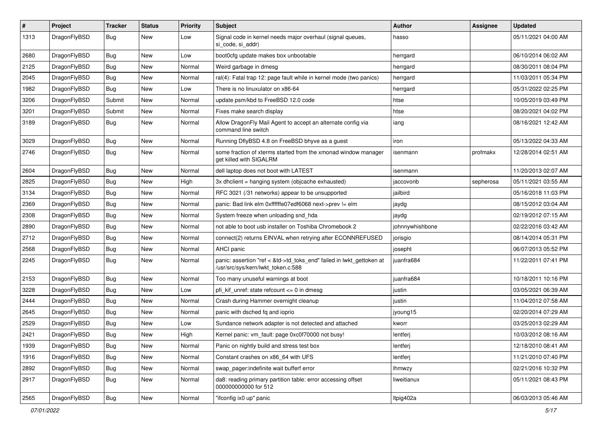| #    | Project      | <b>Tracker</b> | <b>Status</b> | <b>Priority</b> | <b>Subject</b>                                                                                             | <b>Author</b>   | Assignee  | <b>Updated</b>      |
|------|--------------|----------------|---------------|-----------------|------------------------------------------------------------------------------------------------------------|-----------------|-----------|---------------------|
| 1313 | DragonFlyBSD | Bug            | New           | Low             | Signal code in kernel needs major overhaul (signal queues,<br>si_code, si_addr)                            | hasso           |           | 05/11/2021 04:00 AM |
| 2680 | DragonFlyBSD | <b>Bug</b>     | <b>New</b>    | Low             | boot0cfg update makes box unbootable                                                                       | herrgard        |           | 06/10/2014 06:02 AM |
| 2125 | DragonFlyBSD | Bug            | <b>New</b>    | Normal          | Weird garbage in dmesg                                                                                     | herrgard        |           | 08/30/2011 08:04 PM |
| 2045 | DragonFlyBSD | <b>Bug</b>     | <b>New</b>    | Normal          | ral(4): Fatal trap 12: page fault while in kernel mode (two panics)                                        | herrgard        |           | 11/03/2011 05:34 PM |
| 1982 | DragonFlyBSD | <b>Bug</b>     | New           | Low             | There is no linuxulator on x86-64                                                                          | herrgard        |           | 05/31/2022 02:25 PM |
| 3206 | DragonFlyBSD | Submit         | <b>New</b>    | Normal          | update psm/kbd to FreeBSD 12.0 code                                                                        | htse            |           | 10/05/2019 03:49 PM |
| 3201 | DragonFlyBSD | Submit         | New           | Normal          | Fixes make search display                                                                                  | htse            |           | 08/20/2021 04:02 PM |
| 3189 | DragonFlyBSD | Bug            | <b>New</b>    | Normal          | Allow DragonFly Mail Agent to accept an alternate config via<br>command line switch                        | iang            |           | 08/16/2021 12:42 AM |
| 3029 | DragonFlyBSD | Bug            | <b>New</b>    | Normal          | Running DflyBSD 4.8 on FreeBSD bhyve as a guest                                                            | iron            |           | 05/13/2022 04:33 AM |
| 2746 | DragonFlyBSD | Bug            | New           | Normal          | some fraction of xterms started from the xmonad window manager<br>get killed with SIGALRM                  | isenmann        | profmakx  | 12/28/2014 02:51 AM |
| 2604 | DragonFlyBSD | <b>Bug</b>     | New           | Normal          | dell laptop does not boot with LATEST                                                                      | isenmann        |           | 11/20/2013 02:07 AM |
| 2825 | DragonFlyBSD | Bug            | <b>New</b>    | High            | 3x dhclient = hanging system (objcache exhausted)                                                          | jaccovonb       | sepherosa | 05/11/2021 03:55 AM |
| 3134 | DragonFlyBSD | <b>Bug</b>     | New           | Normal          | RFC 3021 (/31 networks) appear to be unsupported                                                           | jailbird        |           | 05/16/2018 11:03 PM |
| 2369 | DragonFlyBSD | Bug            | <b>New</b>    | Normal          | panic: Bad link elm 0xffffffe07edf6068 next->prev != elm                                                   | jaydg           |           | 08/15/2012 03:04 AM |
| 2308 | DragonFlyBSD | <b>Bug</b>     | <b>New</b>    | Normal          | System freeze when unloading snd_hda                                                                       | jaydg           |           | 02/19/2012 07:15 AM |
| 2890 | DragonFlyBSD | Bug            | <b>New</b>    | Normal          | not able to boot usb installer on Toshiba Chromebook 2                                                     | johnnywhishbone |           | 02/22/2016 03:42 AM |
| 2712 | DragonFlyBSD | Bug            | <b>New</b>    | Normal          | connect(2) returns EINVAL when retrying after ECONNREFUSED                                                 | jorisgio        |           | 08/14/2014 05:31 PM |
| 2568 | DragonFlyBSD | <b>Bug</b>     | New           | Normal          | <b>AHCI</b> panic                                                                                          | josepht         |           | 06/07/2013 05:52 PM |
| 2245 | DragonFlyBSD | Bug            | New           | Normal          | panic: assertion "ref < &td->td_toks_end" failed in lwkt_gettoken at<br>/usr/src/sys/kern/lwkt_token.c:588 | juanfra684      |           | 11/22/2011 07:41 PM |
| 2153 | DragonFlyBSD | <b>Bug</b>     | New           | Normal          | Too many unuseful warnings at boot                                                                         | juanfra684      |           | 10/18/2011 10:16 PM |
| 3228 | DragonFlyBSD | Bug            | <b>New</b>    | Low             | pfi kif unref: state refcount $\leq$ 0 in dmesg                                                            | justin          |           | 03/05/2021 06:39 AM |
| 2444 | DragonFlyBSD | Bug            | <b>New</b>    | Normal          | Crash during Hammer overnight cleanup                                                                      | justin          |           | 11/04/2012 07:58 AM |
| 2645 | DragonFlyBSD | <b>Bug</b>     | <b>New</b>    | Normal          | panic with dsched fq and ioprio                                                                            | jyoung15        |           | 02/20/2014 07:29 AM |
| 2529 | DragonFlyBSD | Bug            | New           | Low             | Sundance network adapter is not detected and attached                                                      | kworr           |           | 03/25/2013 02:29 AM |
| 2421 | DragonFlyBSD | <b>Bug</b>     | New           | High            | Kernel panic: vm fault: page 0xc0f70000 not busy!                                                          | lentferj        |           | 10/03/2012 08:16 AM |
| 1939 | DragonFlyBSD | <b>Bug</b>     | New           | Normal          | Panic on nightly build and stress test box                                                                 | lentferj        |           | 12/18/2010 08:41 AM |
| 1916 | DragonFlyBSD | <b>Bug</b>     | New           | Normal          | Constant crashes on x86_64 with UFS                                                                        | lentferj        |           | 11/21/2010 07:40 PM |
| 2892 | DragonFlyBSD | <b>Bug</b>     | New           | Normal          | swap pager:indefinite wait bufferf error                                                                   | <b>Ihmwzy</b>   |           | 02/21/2016 10:32 PM |
| 2917 | DragonFlyBSD | <b>Bug</b>     | New           | Normal          | da8: reading primary partition table: error accessing offset<br>000000000000 for 512                       | liweitianux     |           | 05/11/2021 08:43 PM |
| 2565 | DragonFlyBSD | <b>Bug</b>     | New           | Normal          | "ifconfig ix0 up" panic                                                                                    | Itpig402a       |           | 06/03/2013 05:46 AM |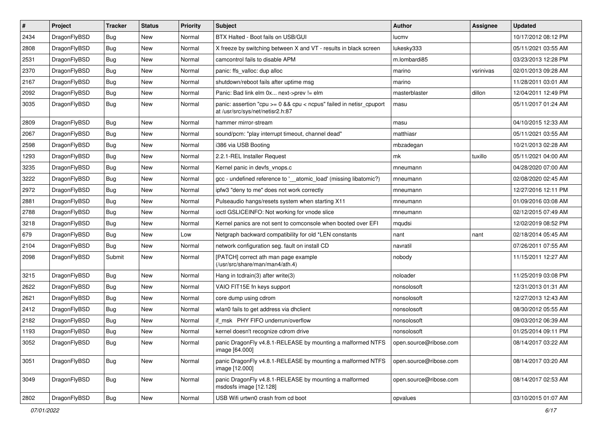| $\pmb{\#}$ | Project      | <b>Tracker</b> | <b>Status</b> | <b>Priority</b> | Subject                                                                                                 | <b>Author</b>          | Assignee  | <b>Updated</b>      |
|------------|--------------|----------------|---------------|-----------------|---------------------------------------------------------------------------------------------------------|------------------------|-----------|---------------------|
| 2434       | DragonFlyBSD | Bug            | <b>New</b>    | Normal          | BTX Halted - Boot fails on USB/GUI                                                                      | lucmv                  |           | 10/17/2012 08:12 PM |
| 2808       | DragonFlyBSD | Bug            | <b>New</b>    | Normal          | X freeze by switching between X and VT - results in black screen                                        | lukesky333             |           | 05/11/2021 03:55 AM |
| 2531       | DragonFlyBSD | Bug            | <b>New</b>    | Normal          | camcontrol fails to disable APM                                                                         | m.lombardi85           |           | 03/23/2013 12:28 PM |
| 2370       | DragonFlyBSD | Bug            | <b>New</b>    | Normal          | panic: ffs_valloc: dup alloc                                                                            | marino                 | vsrinivas | 02/01/2013 09:28 AM |
| 2167       | DragonFlyBSD | Bug            | <b>New</b>    | Normal          | shutdown/reboot fails after uptime msg                                                                  | marino                 |           | 11/28/2011 03:01 AM |
| 2092       | DragonFlyBSD | Bug            | New           | Normal          | Panic: Bad link elm 0x next->prev != elm                                                                | masterblaster          | dillon    | 12/04/2011 12:49 PM |
| 3035       | DragonFlyBSD | Bug            | <b>New</b>    | Normal          | panic: assertion "cpu >= 0 && cpu < ncpus" failed in netisr_cpuport<br>at /usr/src/sys/net/netisr2.h:87 | masu                   |           | 05/11/2017 01:24 AM |
| 2809       | DragonFlyBSD | Bug            | <b>New</b>    | Normal          | hammer mirror-stream                                                                                    | masu                   |           | 04/10/2015 12:33 AM |
| 2067       | DragonFlyBSD | Bug            | <b>New</b>    | Normal          | sound/pcm: "play interrupt timeout, channel dead"                                                       | matthiasr              |           | 05/11/2021 03:55 AM |
| 2598       | DragonFlyBSD | Bug            | <b>New</b>    | Normal          | i386 via USB Booting                                                                                    | mbzadegan              |           | 10/21/2013 02:28 AM |
| 1293       | DragonFlyBSD | Bug            | <b>New</b>    | Normal          | 2.2.1-REL Installer Request                                                                             | mk                     | tuxillo   | 05/11/2021 04:00 AM |
| 3235       | DragonFlyBSD | Bug            | <b>New</b>    | Normal          | Kernel panic in devfs vnops.c                                                                           | mneumann               |           | 04/28/2020 07:00 AM |
| 3222       | DragonFlyBSD | Bug            | <b>New</b>    | Normal          | gcc - undefined reference to '__atomic_load' (missing libatomic?)                                       | mneumann               |           | 02/08/2020 02:45 AM |
| 2972       | DragonFlyBSD | Bug            | <b>New</b>    | Normal          | ipfw3 "deny to me" does not work correctly                                                              | mneumann               |           | 12/27/2016 12:11 PM |
| 2881       | DragonFlyBSD | Bug            | New           | Normal          | Pulseaudio hangs/resets system when starting X11                                                        | mneumann               |           | 01/09/2016 03:08 AM |
| 2788       | DragonFlyBSD | Bug            | New           | Normal          | ioctl GSLICEINFO: Not working for vnode slice                                                           | mneumann               |           | 02/12/2015 07:49 AM |
| 3218       | DragonFlyBSD | Bug            | <b>New</b>    | Normal          | Kernel panics are not sent to comconsole when booted over EFI                                           | mqudsi                 |           | 12/02/2019 08:52 PM |
| 679        | DragonFlyBSD | Bug            | <b>New</b>    | Low             | Netgraph backward compatibility for old *LEN constants                                                  | nant                   | nant      | 02/18/2014 05:45 AM |
| 2104       | DragonFlyBSD | Bug            | <b>New</b>    | Normal          | network configuration seg. fault on install CD                                                          | navratil               |           | 07/26/2011 07:55 AM |
| 2098       | DragonFlyBSD | Submit         | New           | Normal          | [PATCH] correct ath man page example<br>(/usr/src/share/man/man4/ath.4)                                 | nobody                 |           | 11/15/2011 12:27 AM |
| 3215       | DragonFlyBSD | Bug            | <b>New</b>    | Normal          | Hang in tcdrain(3) after write(3)                                                                       | noloader               |           | 11/25/2019 03:08 PM |
| 2622       | DragonFlyBSD | Bug            | <b>New</b>    | Normal          | VAIO FIT15E fn keys support                                                                             | nonsolosoft            |           | 12/31/2013 01:31 AM |
| 2621       | DragonFlyBSD | Bug            | New           | Normal          | core dump using cdrom                                                                                   | nonsolosoft            |           | 12/27/2013 12:43 AM |
| 2412       | DragonFlyBSD | Bug            | <b>New</b>    | Normal          | wlan0 fails to get address via dhclient                                                                 | nonsolosoft            |           | 08/30/2012 05:55 AM |
| 2182       | DragonFlyBSD | Bug            | New           | Normal          | if_msk PHY FIFO underrun/overflow                                                                       | nonsolosoft            |           | 09/03/2012 06:39 AM |
| 1193       | DragonFlyBSD | Bug            | <b>New</b>    | Normal          | kernel doesn't recognize cdrom drive                                                                    | nonsolosoft            |           | 01/25/2014 09:11 PM |
| 3052       | DragonFlyBSD | <b>Bug</b>     | <b>New</b>    | Normal          | panic DragonFly v4.8.1-RELEASE by mounting a malformed NTFS<br>image [64.000]                           | open.source@ribose.com |           | 08/14/2017 03:22 AM |
| 3051       | DragonFlyBSD | <b>Bug</b>     | New           | Normal          | panic DragonFly v4.8.1-RELEASE by mounting a malformed NTFS<br>image [12.000]                           | open.source@ribose.com |           | 08/14/2017 03:20 AM |
| 3049       | DragonFlyBSD | <b>Bug</b>     | New           | Normal          | panic DragonFly v4.8.1-RELEASE by mounting a malformed<br>msdosfs image [12.128]                        | open.source@ribose.com |           | 08/14/2017 02:53 AM |
| 2802       | DragonFlyBSD | Bug            | New           | Normal          | USB Wifi urtwn0 crash from cd boot                                                                      | opvalues               |           | 03/10/2015 01:07 AM |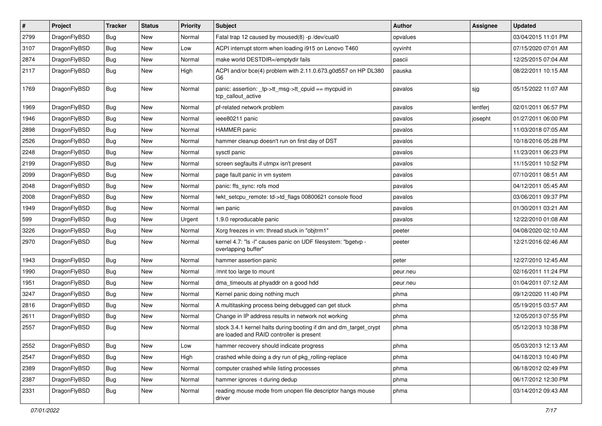| $\sharp$ | Project      | <b>Tracker</b> | <b>Status</b> | <b>Priority</b> | Subject                                                                                                        | Author   | Assignee | <b>Updated</b>      |
|----------|--------------|----------------|---------------|-----------------|----------------------------------------------------------------------------------------------------------------|----------|----------|---------------------|
| 2799     | DragonFlyBSD | <b>Bug</b>     | New           | Normal          | Fatal trap 12 caused by moused(8) -p /dev/cual0                                                                | opvalues |          | 03/04/2015 11:01 PM |
| 3107     | DragonFlyBSD | <b>Bug</b>     | New           | Low             | ACPI interrupt storm when loading i915 on Lenovo T460                                                          | oyvinht  |          | 07/15/2020 07:01 AM |
| 2874     | DragonFlyBSD | <b>Bug</b>     | New           | Normal          | make world DESTDIR=/emptydir fails                                                                             | pascii   |          | 12/25/2015 07:04 AM |
| 2117     | DragonFlyBSD | <b>Bug</b>     | New           | High            | ACPI and/or bce(4) problem with 2.11.0.673.g0d557 on HP DL380<br>G <sub>6</sub>                                | pauska   |          | 08/22/2011 10:15 AM |
| 1769     | DragonFlyBSD | <b>Bug</b>     | New           | Normal          | panic: assertion: _tp->tt_msg->tt_cpuid == mycpuid in<br>tcp_callout_active                                    | pavalos  | sjg      | 05/15/2022 11:07 AM |
| 1969     | DragonFlyBSD | <b>Bug</b>     | New           | Normal          | pf-related network problem                                                                                     | pavalos  | lentferj | 02/01/2011 06:57 PM |
| 1946     | DragonFlyBSD | <b>Bug</b>     | New           | Normal          | ieee80211 panic                                                                                                | pavalos  | josepht  | 01/27/2011 06:00 PM |
| 2898     | DragonFlyBSD | <b>Bug</b>     | <b>New</b>    | Normal          | <b>HAMMER</b> panic                                                                                            | pavalos  |          | 11/03/2018 07:05 AM |
| 2526     | DragonFlyBSD | <b>Bug</b>     | New           | Normal          | hammer cleanup doesn't run on first day of DST                                                                 | pavalos  |          | 10/18/2016 05:28 PM |
| 2248     | DragonFlyBSD | <b>Bug</b>     | <b>New</b>    | Normal          | sysctl panic                                                                                                   | pavalos  |          | 11/23/2011 06:23 PM |
| 2199     | DragonFlyBSD | <b>Bug</b>     | New           | Normal          | screen segfaults if utmpx isn't present                                                                        | pavalos  |          | 11/15/2011 10:52 PM |
| 2099     | DragonFlyBSD | <b>Bug</b>     | <b>New</b>    | Normal          | page fault panic in vm system                                                                                  | pavalos  |          | 07/10/2011 08:51 AM |
| 2048     | DragonFlyBSD | Bug            | New           | Normal          | panic: ffs_sync: rofs mod                                                                                      | pavalos  |          | 04/12/2011 05:45 AM |
| 2008     | DragonFlyBSD | <b>Bug</b>     | <b>New</b>    | Normal          | lwkt_setcpu_remote: td->td_flags 00800621 console flood                                                        | pavalos  |          | 03/06/2011 09:37 PM |
| 1949     | DragonFlyBSD | <b>Bug</b>     | <b>New</b>    | Normal          | iwn panic                                                                                                      | pavalos  |          | 01/30/2011 03:21 AM |
| 599      | DragonFlyBSD | <b>Bug</b>     | New           | Urgent          | 1.9.0 reproducable panic                                                                                       | pavalos  |          | 12/22/2010 01:08 AM |
| 3226     | DragonFlyBSD | <b>Bug</b>     | <b>New</b>    | Normal          | Xorg freezes in vm: thread stuck in "objtrm1"                                                                  | peeter   |          | 04/08/2020 02:10 AM |
| 2970     | DragonFlyBSD | <b>Bug</b>     | New           | Normal          | kernel 4.7: "Is -l" causes panic on UDF filesystem: "bgetvp -<br>overlapping buffer"                           | peeter   |          | 12/21/2016 02:46 AM |
| 1943     | DragonFlyBSD | <b>Bug</b>     | New           | Normal          | hammer assertion panic                                                                                         | peter    |          | 12/27/2010 12:45 AM |
| 1990     | DragonFlyBSD | Bug            | New           | Normal          | /mnt too large to mount                                                                                        | peur.neu |          | 02/16/2011 11:24 PM |
| 1951     | DragonFlyBSD | <b>Bug</b>     | New           | Normal          | dma timeouts at phyaddr on a good hdd                                                                          | peur.neu |          | 01/04/2011 07:12 AM |
| 3247     | DragonFlyBSD | Bug            | <b>New</b>    | Normal          | Kernel panic doing nothing much                                                                                | phma     |          | 09/12/2020 11:40 PM |
| 2816     | DragonFlyBSD | <b>Bug</b>     | New           | Normal          | A multitasking process being debugged can get stuck                                                            | phma     |          | 05/19/2015 03:57 AM |
| 2611     | DragonFlyBSD | Bug            | <b>New</b>    | Normal          | Change in IP address results in network not working                                                            | phma     |          | 12/05/2013 07:55 PM |
| 2557     | DragonFlyBSD | Bug            | New           | Normal          | stock 3.4.1 kernel halts during booting if dm and dm_target_crypt<br>are loaded and RAID controller is present | phma     |          | 05/12/2013 10:38 PM |
| 2552     | DragonFlyBSD | <b>Bug</b>     | New           | Low             | hammer recovery should indicate progress                                                                       | phma     |          | 05/03/2013 12:13 AM |
| 2547     | DragonFlyBSD | <b>Bug</b>     | <b>New</b>    | High            | crashed while doing a dry run of pkg_rolling-replace                                                           | phma     |          | 04/18/2013 10:40 PM |
| 2389     | DragonFlyBSD | <b>Bug</b>     | New           | Normal          | computer crashed while listing processes                                                                       | phma     |          | 06/18/2012 02:49 PM |
| 2387     | DragonFlyBSD | <b>Bug</b>     | New           | Normal          | hammer ignores -t during dedup                                                                                 | phma     |          | 06/17/2012 12:30 PM |
| 2331     | DragonFlyBSD | <b>Bug</b>     | New           | Normal          | reading mouse mode from unopen file descriptor hangs mouse<br>driver                                           | phma     |          | 03/14/2012 09:43 AM |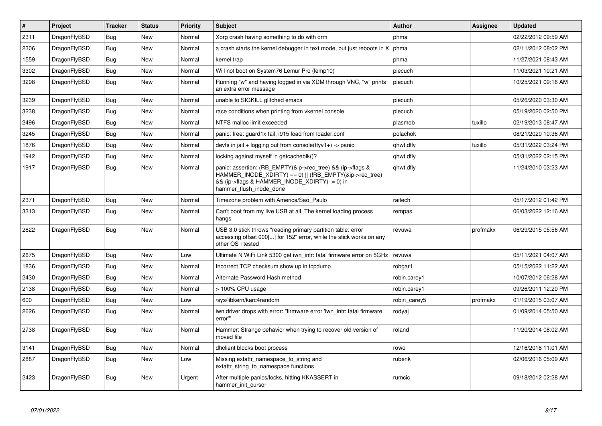| $\vert$ # | <b>Project</b> | <b>Tracker</b> | <b>Status</b> | <b>Priority</b> | <b>Subject</b>                                                                                                                                                                                    | <b>Author</b> | Assignee | <b>Updated</b>      |
|-----------|----------------|----------------|---------------|-----------------|---------------------------------------------------------------------------------------------------------------------------------------------------------------------------------------------------|---------------|----------|---------------------|
| 2311      | DragonFlyBSD   | <b>Bug</b>     | <b>New</b>    | Normal          | Xorg crash having something to do with drm                                                                                                                                                        | phma          |          | 02/22/2012 09:59 AM |
| 2306      | DragonFlyBSD   | <b>Bug</b>     | <b>New</b>    | Normal          | a crash starts the kernel debugger in text mode, but just reboots in X                                                                                                                            | phma          |          | 02/11/2012 08:02 PM |
| 1559      | DragonFlyBSD   | Bug            | <b>New</b>    | Normal          | kernel trap                                                                                                                                                                                       | phma          |          | 11/27/2021 08:43 AM |
| 3302      | DragonFlyBSD   | <b>Bug</b>     | <b>New</b>    | Normal          | Will not boot on System76 Lemur Pro (lemp10)                                                                                                                                                      | piecuch       |          | 11/03/2021 10:21 AM |
| 3298      | DragonFlyBSD   | <b>Bug</b>     | <b>New</b>    | Normal          | Running "w" and having logged in via XDM through VNC, "w" prints<br>an extra error message                                                                                                        | piecuch       |          | 10/25/2021 09:16 AM |
| 3239      | DragonFlyBSD   | <b>Bug</b>     | New           | Normal          | unable to SIGKILL glitched emacs                                                                                                                                                                  | piecuch       |          | 05/26/2020 03:30 AM |
| 3238      | DragonFlyBSD   | <b>Bug</b>     | <b>New</b>    | Normal          | race conditions when printing from vkernel console                                                                                                                                                | piecuch       |          | 05/19/2020 02:50 PM |
| 2496      | DragonFlyBSD   | <b>Bug</b>     | <b>New</b>    | Normal          | NTFS malloc limit exceeded                                                                                                                                                                        | plasmob       | tuxillo  | 02/19/2013 08:47 AM |
| 3245      | DragonFlyBSD   | <b>Bug</b>     | <b>New</b>    | Normal          | panic: free: guard1x fail, i915 load from loader.conf                                                                                                                                             | polachok      |          | 08/21/2020 10:36 AM |
| 1876      | DragonFlyBSD   | Bug            | <b>New</b>    | Normal          | devfs in jail + logging out from console(ttyv1+) -> panic                                                                                                                                         | qhwt.dfly     | tuxillo  | 05/31/2022 03:24 PM |
| 1942      | DragonFlyBSD   | <b>Bug</b>     | <b>New</b>    | Normal          | locking against myself in getcacheblk()?                                                                                                                                                          | qhwt.dfly     |          | 05/31/2022 02:15 PM |
| 1917      | DragonFlyBSD   | <b>Bug</b>     | <b>New</b>    | Normal          | panic: assertion: (RB_EMPTY(&ip->rec_tree) && (ip->flags &<br>HAMMER_INODE_XDIRTY) == 0)    (!RB_EMPTY(&ip->rec_tree)<br>&& (ip->flags & HAMMER_INODE_XDIRTY) != 0) in<br>hammer flush inode done | qhwt.dfly     |          | 11/24/2010 03:23 AM |
| 2371      | DragonFlyBSD   | <b>Bug</b>     | <b>New</b>    | Normal          | Timezone problem with America/Sao_Paulo                                                                                                                                                           | raitech       |          | 05/17/2012 01:42 PM |
| 3313      | DragonFlyBSD   | <b>Bug</b>     | New           | Normal          | Can't boot from my live USB at all. The kernel loading process<br>hangs.                                                                                                                          | rempas        |          | 06/03/2022 12:16 AM |
| 2822      | DragonFlyBSD   | <b>Bug</b>     | <b>New</b>    | Normal          | USB 3.0 stick throws "reading primary partition table: error<br>accessing offset 000[] for 152" error, while the stick works on any<br>other OS I tested                                          | revuwa        | profmakx | 06/29/2015 05:56 AM |
| 2675      | DragonFlyBSD   | <b>Bug</b>     | <b>New</b>    | Low             | Ultimate N WiFi Link 5300 get iwn_intr: fatal firmware error on 5GHz                                                                                                                              | revuwa        |          | 05/11/2021 04:07 AM |
| 1836      | DragonFlyBSD   | Bug            | <b>New</b>    | Normal          | Incorrect TCP checksum show up in tcpdump                                                                                                                                                         | robgar1       |          | 05/15/2022 11:22 AM |
| 2430      | DragonFlyBSD   | <b>Bug</b>     | <b>New</b>    | Normal          | Alternate Password Hash method                                                                                                                                                                    | robin.carey1  |          | 10/07/2012 06:28 AM |
| 2138      | DragonFlyBSD   | <b>Bug</b>     | <b>New</b>    | Normal          | > 100% CPU usage                                                                                                                                                                                  | robin.carey1  |          | 09/26/2011 12:20 PM |
| 600       | DragonFlyBSD   | Bug            | <b>New</b>    | Low             | /sys/libkern/karc4random                                                                                                                                                                          | robin carey5  | profmakx | 01/19/2015 03:07 AM |
| 2626      | DragonFlyBSD   | <b>Bug</b>     | <b>New</b>    | Normal          | iwn driver drops with error: "firmware error 'iwn_intr: fatal firmware<br>error"                                                                                                                  | rodyaj        |          | 01/09/2014 05:50 AM |
| 2738      | DragonFlyBSD   | Bug            | <b>New</b>    | Normal          | Hammer: Strange behavior when trying to recover old version of<br>moved file                                                                                                                      | roland        |          | 11/20/2014 08:02 AM |
| 3141      | DragonFlyBSD   | <b>Bug</b>     | <b>New</b>    | Normal          | dhclient blocks boot process                                                                                                                                                                      | rowo          |          | 12/16/2018 11:01 AM |
| 2887      | DragonFlyBSD   | <b>Bug</b>     | <b>New</b>    | Low             | Missing extattr namespace to string and<br>extattr_string_to_namespace functions                                                                                                                  | rubenk        |          | 02/06/2016 05:09 AM |
| 2423      | DragonFlyBSD   | <b>Bug</b>     | New           | Urgent          | After multiple panics/locks, hitting KKASSERT in<br>hammer init cursor                                                                                                                            | rumcic        |          | 09/18/2012 02:28 AM |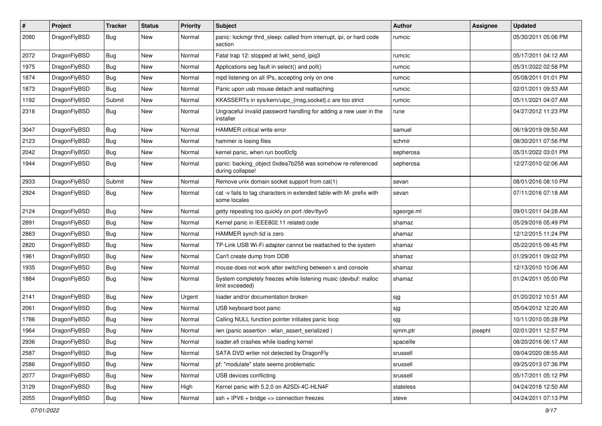| $\sharp$ | Project      | <b>Tracker</b> | <b>Status</b> | <b>Priority</b> | Subject                                                                              | <b>Author</b> | <b>Assignee</b> | <b>Updated</b>      |
|----------|--------------|----------------|---------------|-----------------|--------------------------------------------------------------------------------------|---------------|-----------------|---------------------|
| 2080     | DragonFlyBSD | Bug            | New           | Normal          | panic: lockmgr thrd_sleep: called from interrupt, ipi, or hard code<br>section       | rumcic        |                 | 05/30/2011 05:06 PM |
| 2072     | DragonFlyBSD | Bug            | <b>New</b>    | Normal          | Fatal trap 12: stopped at lwkt send ipig3                                            | rumcic        |                 | 05/17/2011 04:12 AM |
| 1975     | DragonFlyBSD | <b>Bug</b>     | New           | Normal          | Applications seg fault in select() and poll()                                        | rumcic        |                 | 05/31/2022 02:58 PM |
| 1874     | DragonFlyBSD | Bug            | <b>New</b>    | Normal          | mpd listening on all IPs, accepting only on one                                      | rumcic        |                 | 05/08/2011 01:01 PM |
| 1873     | DragonFlyBSD | <b>Bug</b>     | <b>New</b>    | Normal          | Panic upon usb mouse detach and reattaching                                          | rumcic        |                 | 02/01/2011 09:53 AM |
| 1192     | DragonFlyBSD | Submit         | <b>New</b>    | Normal          | KKASSERTs in sys/kern/uipc_{msg,socket}.c are too strict                             | rumcic        |                 | 05/11/2021 04:07 AM |
| 2316     | DragonFlyBSD | Bug            | New           | Normal          | Ungraceful invalid password handling for adding a new user in the<br>installer       | rune          |                 | 04/27/2012 11:23 PM |
| 3047     | DragonFlyBSD | Bug            | <b>New</b>    | Normal          | HAMMER critical write error                                                          | samuel        |                 | 06/19/2019 09:50 AM |
| 2123     | DragonFlyBSD | <b>Bug</b>     | New           | Normal          | hammer is losing files                                                               | schmir        |                 | 08/30/2011 07:56 PM |
| 2042     | DragonFlyBSD | <b>Bug</b>     | New           | Normal          | kernel panic, when run boot0cfg                                                      | sepherosa     |                 | 05/31/2022 03:01 PM |
| 1944     | DragonFlyBSD | Bug            | New           | Normal          | panic: backing_object 0xdea7b258 was somehow re-referenced<br>during collapse!       | sepherosa     |                 | 12/27/2010 02:06 AM |
| 2933     | DragonFlyBSD | Submit         | <b>New</b>    | Normal          | Remove unix domain socket support from cat(1)                                        | sevan         |                 | 08/01/2016 08:10 PM |
| 2924     | DragonFlyBSD | Bug            | New           | Normal          | cat -v fails to tag characters in extended table with M- prefix with<br>some locales | sevan         |                 | 07/11/2016 07:18 AM |
| 2124     | DragonFlyBSD | Bug            | New           | Normal          | getty repeating too quickly on port /dev/ttyv0                                       | sgeorge.ml    |                 | 09/01/2011 04:28 AM |
| 2891     | DragonFlyBSD | <b>Bug</b>     | <b>New</b>    | Normal          | Kernel panic in IEEE802.11 related code                                              | shamaz        |                 | 05/29/2016 05:49 PM |
| 2863     | DragonFlyBSD | <b>Bug</b>     | <b>New</b>    | Normal          | HAMMER synch tid is zero                                                             | shamaz        |                 | 12/12/2015 11:24 PM |
| 2820     | DragonFlyBSD | Bug            | <b>New</b>    | Normal          | TP-Link USB Wi-Fi adapter cannot be reattached to the system                         | shamaz        |                 | 05/22/2015 09:45 PM |
| 1961     | DragonFlyBSD | <b>Bug</b>     | New           | Normal          | Can't create dump from DDB                                                           | shamaz        |                 | 01/29/2011 09:02 PM |
| 1935     | DragonFlyBSD | <b>Bug</b>     | <b>New</b>    | Normal          | mouse does not work after switching between x and console                            | shamaz        |                 | 12/13/2010 10:06 AM |
| 1884     | DragonFlyBSD | <b>Bug</b>     | New           | Normal          | System completely freezes while listening music (devbuf: malloc<br>limit exceeded)   | shamaz        |                 | 01/24/2011 05:00 PM |
| 2141     | DragonFlyBSD | <b>Bug</b>     | <b>New</b>    | Urgent          | loader and/or documentation broken                                                   | sjg           |                 | 01/20/2012 10:51 AM |
| 2061     | DragonFlyBSD | <b>Bug</b>     | New           | Normal          | USB keyboard boot panic                                                              | sjg           |                 | 05/04/2012 12:20 AM |
| 1786     | DragonFlyBSD | <b>Bug</b>     | New           | Normal          | Calling NULL function pointer initiates panic loop                                   | sjg           |                 | 10/11/2010 05:28 PM |
| 1964     | DragonFlyBSD | Bug            | New           | Normal          | iwn (panic assertion : wlan_assert_serialized)                                       | sjmm.ptr      | josepht         | 02/01/2011 12:57 PM |
| 2936     | DragonFlyBSD | Bug            | New           | Normal          | loader.efi crashes while loading kernel                                              | spaceille     |                 | 08/20/2016 06:17 AM |
| 2587     | DragonFlyBSD | Bug            | New           | Normal          | SATA DVD writer not detected by DragonFly                                            | srussell      |                 | 09/04/2020 08:55 AM |
| 2586     | DragonFlyBSD | <b>Bug</b>     | New           | Normal          | pf: "modulate" state seems problematic                                               | srussell      |                 | 09/25/2013 07:36 PM |
| 2077     | DragonFlyBSD | <b>Bug</b>     | New           | Normal          | USB devices conflicting                                                              | srussell      |                 | 05/17/2011 05:12 PM |
| 3129     | DragonFlyBSD | <b>Bug</b>     | New           | High            | Kernel panic with 5.2.0 on A2SDi-4C-HLN4F                                            | stateless     |                 | 04/24/2018 12:50 AM |
| 2055     | DragonFlyBSD | <b>Bug</b>     | New           | Normal          | $ssh + IPV6 + bridge \Rightarrow$ connection freezes                                 | steve         |                 | 04/24/2011 07:13 PM |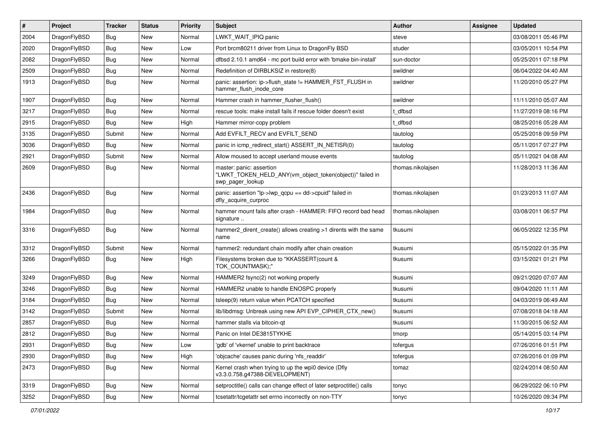| $\vert$ # | Project      | <b>Tracker</b> | <b>Status</b> | <b>Priority</b> | <b>Subject</b>                                                                                           | Author            | Assignee | <b>Updated</b>      |
|-----------|--------------|----------------|---------------|-----------------|----------------------------------------------------------------------------------------------------------|-------------------|----------|---------------------|
| 2004      | DragonFlyBSD | Bug            | <b>New</b>    | Normal          | LWKT_WAIT_IPIQ panic                                                                                     | steve             |          | 03/08/2011 05:46 PM |
| 2020      | DragonFlyBSD | <b>Bug</b>     | <b>New</b>    | Low             | Port brcm80211 driver from Linux to DragonFly BSD                                                        | studer            |          | 03/05/2011 10:54 PM |
| 2082      | DragonFlyBSD | <b>Bug</b>     | <b>New</b>    | Normal          | dfbsd 2.10.1 amd64 - mc port build error with 'bmake bin-install'                                        | sun-doctor        |          | 05/25/2011 07:18 PM |
| 2509      | DragonFlyBSD | <b>Bug</b>     | <b>New</b>    | Normal          | Redefinition of DIRBLKSIZ in restore(8)                                                                  | swildner          |          | 06/04/2022 04:40 AM |
| 1913      | DragonFlyBSD | Bug            | <b>New</b>    | Normal          | panic: assertion: ip->flush_state != HAMMER_FST_FLUSH in<br>hammer flush inode core                      | swildner          |          | 11/20/2010 05:27 PM |
| 1907      | DragonFlyBSD | Bug            | <b>New</b>    | Normal          | Hammer crash in hammer flusher flush()                                                                   | swildner          |          | 11/11/2010 05:07 AM |
| 3217      | DragonFlyBSD | <b>Bug</b>     | New           | Normal          | rescue tools: make install fails if rescue folder doesn't exist                                          | t dfbsd           |          | 11/27/2019 08:16 PM |
| 2915      | DragonFlyBSD | Bug            | <b>New</b>    | High            | Hammer mirror-copy problem                                                                               | t dfbsd           |          | 08/25/2016 05:28 AM |
| 3135      | DragonFlyBSD | Submit         | <b>New</b>    | Normal          | Add EVFILT_RECV and EVFILT_SEND                                                                          | tautolog          |          | 05/25/2018 09:59 PM |
| 3036      | DragonFlyBSD | Bug            | <b>New</b>    | Normal          | panic in icmp redirect start() ASSERT IN NETISR(0)                                                       | tautolog          |          | 05/11/2017 07:27 PM |
| 2921      | DragonFlyBSD | Submit         | <b>New</b>    | Normal          | Allow moused to accept userland mouse events                                                             | tautolog          |          | 05/11/2021 04:08 AM |
| 2609      | DragonFlyBSD | Bug            | New           | Normal          | master: panic: assertion<br>"LWKT_TOKEN_HELD_ANY(vm_object_token(object))" failed in<br>swp pager lookup | thomas.nikolaisen |          | 11/28/2013 11:36 AM |
| 2436      | DragonFlyBSD | <b>Bug</b>     | New           | Normal          | panic: assertion "lp->lwp_qcpu == dd->cpuid" failed in<br>dfly_acquire_curproc                           | thomas.nikolaisen |          | 01/23/2013 11:07 AM |
| 1984      | DragonFlyBSD | Bug            | New           | Normal          | hammer mount fails after crash - HAMMER: FIFO record bad head<br>signature                               | thomas.nikolajsen |          | 03/08/2011 06:57 PM |
| 3316      | DragonFlyBSD | Bug            | <b>New</b>    | Normal          | hammer2 dirent create() allows creating >1 dirents with the same<br>name                                 | tkusumi           |          | 06/05/2022 12:35 PM |
| 3312      | DragonFlyBSD | Submit         | <b>New</b>    | Normal          | hammer2: redundant chain modify after chain creation                                                     | tkusumi           |          | 05/15/2022 01:35 PM |
| 3266      | DragonFlyBSD | Bug            | New           | High            | Filesystems broken due to "KKASSERT(count &<br>TOK COUNTMASK);"                                          | tkusumi           |          | 03/15/2021 01:21 PM |
| 3249      | DragonFlyBSD | <b>Bug</b>     | New           | Normal          | HAMMER2 fsync(2) not working properly                                                                    | tkusumi           |          | 09/21/2020 07:07 AM |
| 3246      | DragonFlyBSD | Bug            | <b>New</b>    | Normal          | HAMMER2 unable to handle ENOSPC properly                                                                 | tkusumi           |          | 09/04/2020 11:11 AM |
| 3184      | DragonFlyBSD | <b>Bug</b>     | <b>New</b>    | Normal          | tsleep(9) return value when PCATCH specified                                                             | tkusumi           |          | 04/03/2019 06:49 AM |
| 3142      | DragonFlyBSD | Submit         | <b>New</b>    | Normal          | lib/libdmsg: Unbreak using new API EVP_CIPHER_CTX_new()                                                  | tkusumi           |          | 07/08/2018 04:18 AM |
| 2857      | DragonFlyBSD | Bug            | <b>New</b>    | Normal          | hammer stalls via bitcoin-gt                                                                             | tkusumi           |          | 11/30/2015 06:52 AM |
| 2812      | DragonFlyBSD | <b>Bug</b>     | New           | Normal          | Panic on Intel DE3815TYKHE                                                                               | tmorp             |          | 05/14/2015 03:14 PM |
| 2931      | DragonFlyBSD | <b>Bug</b>     | New           | Low             | 'gdb' of 'vkernel' unable to print backtrace                                                             | tofergus          |          | 07/26/2016 01:51 PM |
| 2930      | DragonFlyBSD | <b>Bug</b>     | New           | High            | 'objcache' causes panic during 'nfs_readdir'                                                             | tofergus          |          | 07/26/2016 01:09 PM |
| 2473      | DragonFlyBSD | <b>Bug</b>     | New           | Normal          | Kernel crash when trying to up the wpi0 device (Dfly<br>v3.3.0.758.g47388-DEVELOPMENT)                   | tomaz             |          | 02/24/2014 08:50 AM |
| 3319      | DragonFlyBSD | <b>Bug</b>     | New           | Normal          | setproctitle() calls can change effect of later setproctitle() calls                                     | tonyc             |          | 06/29/2022 06:10 PM |
| 3252      | DragonFlyBSD | <b>Bug</b>     | New           | Normal          | tcsetattr/tcgetattr set errno incorrectly on non-TTY                                                     | tonyc             |          | 10/26/2020 09:34 PM |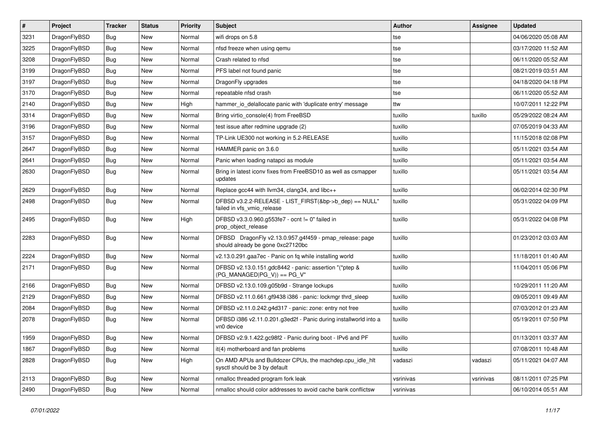| $\sharp$ | Project      | <b>Tracker</b> | <b>Status</b> | <b>Priority</b> | Subject                                                                                      | Author    | Assignee  | <b>Updated</b>      |
|----------|--------------|----------------|---------------|-----------------|----------------------------------------------------------------------------------------------|-----------|-----------|---------------------|
| 3231     | DragonFlyBSD | Bug            | New           | Normal          | wifi drops on 5.8                                                                            | tse       |           | 04/06/2020 05:08 AM |
| 3225     | DragonFlyBSD | <b>Bug</b>     | <b>New</b>    | Normal          | nfsd freeze when using qemu                                                                  | tse       |           | 03/17/2020 11:52 AM |
| 3208     | DragonFlyBSD | <b>Bug</b>     | New           | Normal          | Crash related to nfsd                                                                        | tse       |           | 06/11/2020 05:52 AM |
| 3199     | DragonFlyBSD | <b>Bug</b>     | New           | Normal          | PFS label not found panic                                                                    | tse       |           | 08/21/2019 03:51 AM |
| 3197     | DragonFlyBSD | <b>Bug</b>     | <b>New</b>    | Normal          | DragonFly upgrades                                                                           | tse       |           | 04/18/2020 04:18 PM |
| 3170     | DragonFlyBSD | <b>Bug</b>     | <b>New</b>    | Normal          | repeatable nfsd crash                                                                        | tse       |           | 06/11/2020 05:52 AM |
| 2140     | DragonFlyBSD | <b>Bug</b>     | New           | High            | hammer_io_delallocate panic with 'duplicate entry' message                                   | ttw       |           | 10/07/2011 12:22 PM |
| 3314     | DragonFlyBSD | <b>Bug</b>     | New           | Normal          | Bring virtio_console(4) from FreeBSD                                                         | tuxillo   | tuxillo   | 05/29/2022 08:24 AM |
| 3196     | DragonFlyBSD | <b>Bug</b>     | <b>New</b>    | Normal          | test issue after redmine upgrade (2)                                                         | tuxillo   |           | 07/05/2019 04:33 AM |
| 3157     | DragonFlyBSD | <b>Bug</b>     | New           | Normal          | TP-Link UE300 not working in 5.2-RELEASE                                                     | tuxillo   |           | 11/15/2018 02:08 PM |
| 2647     | DragonFlyBSD | <b>Bug</b>     | New           | Normal          | HAMMER panic on 3.6.0                                                                        | tuxillo   |           | 05/11/2021 03:54 AM |
| 2641     | DragonFlyBSD | <b>Bug</b>     | <b>New</b>    | Normal          | Panic when loading natapci as module                                                         | tuxillo   |           | 05/11/2021 03:54 AM |
| 2630     | DragonFlyBSD | <b>Bug</b>     | <b>New</b>    | Normal          | Bring in latest iconv fixes from FreeBSD10 as well as csmapper<br>updates                    | tuxillo   |           | 05/11/2021 03:54 AM |
| 2629     | DragonFlyBSD | <b>Bug</b>     | <b>New</b>    | Normal          | Replace gcc44 with llvm34, clang34, and libc++                                               | tuxillo   |           | 06/02/2014 02:30 PM |
| 2498     | DragonFlyBSD | <b>Bug</b>     | New           | Normal          | DFBSD v3.2.2-RELEASE - LIST_FIRST(&bp->b_dep) == NULL"<br>failed in vfs_vmio_release         | tuxillo   |           | 05/31/2022 04:09 PM |
| 2495     | DragonFlyBSD | <b>Bug</b>     | <b>New</b>    | High            | DFBSD v3.3.0.960.g553fe7 - ocnt != 0" failed in<br>prop object release                       | tuxillo   |           | 05/31/2022 04:08 PM |
| 2283     | DragonFlyBSD | Bug            | <b>New</b>    | Normal          | DFBSD DragonFly v2.13.0.957.g4f459 - pmap_release: page<br>should already be gone 0xc27120bc | tuxillo   |           | 01/23/2012 03:03 AM |
| 2224     | DragonFlyBSD | <b>Bug</b>     | New           | Normal          | v2.13.0.291.gaa7ec - Panic on fq while installing world                                      | tuxillo   |           | 11/18/2011 01:40 AM |
| 2171     | DragonFlyBSD | <b>Bug</b>     | New           | Normal          | DFBSD v2.13.0.151.gdc8442 - panic: assertion "(*ptep &<br>$(PG_MANAGED PG_V)$ == PG_V"       | tuxillo   |           | 11/04/2011 05:06 PM |
| 2166     | DragonFlyBSD | <b>Bug</b>     | <b>New</b>    | Normal          | DFBSD v2.13.0.109.g05b9d - Strange lockups                                                   | tuxillo   |           | 10/29/2011 11:20 AM |
| 2129     | DragonFlyBSD | <b>Bug</b>     | <b>New</b>    | Normal          | DFBSD v2.11.0.661.gf9438 i386 - panic: lockmgr thrd sleep                                    | tuxillo   |           | 09/05/2011 09:49 AM |
| 2084     | DragonFlyBSD | <b>Bug</b>     | New           | Normal          | DFBSD v2.11.0.242.g4d317 - panic: zone: entry not free                                       | tuxillo   |           | 07/03/2012 01:23 AM |
| 2078     | DragonFlyBSD | <b>Bug</b>     | New           | Normal          | DFBSD i386 v2.11.0.201.g3ed2f - Panic during installworld into a<br>vn0 device               | tuxillo   |           | 05/19/2011 07:50 PM |
| 1959     | DragonFlyBSD | Bug            | <b>New</b>    | Normal          | DFBSD v2.9.1.422.gc98f2 - Panic during boot - IPv6 and PF                                    | tuxillo   |           | 01/13/2011 03:37 AM |
| 1867     | DragonFlyBSD | <b>Bug</b>     | New           | Normal          | it(4) motherboard and fan problems                                                           | tuxillo   |           | 07/08/2011 10:48 AM |
| 2828     | DragonFlyBSD | Bug            | New           | High            | On AMD APUs and Bulldozer CPUs, the machdep.cpu_idle_hlt<br>sysctl should be 3 by default    | vadaszi   | vadaszi   | 05/11/2021 04:07 AM |
| 2113     | DragonFlyBSD | <b>Bug</b>     | <b>New</b>    | Normal          | nmalloc threaded program fork leak                                                           | vsrinivas | vsrinivas | 08/11/2011 07:25 PM |
| 2490     | DragonFlyBSD | <b>Bug</b>     | New           | Normal          | nmalloc should color addresses to avoid cache bank conflictsw                                | vsrinivas |           | 06/10/2014 05:51 AM |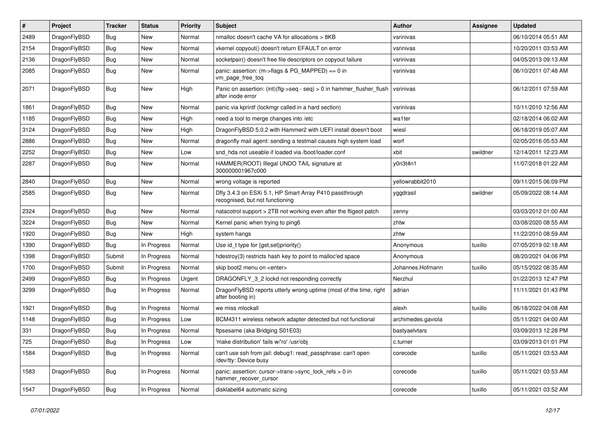| #    | Project      | <b>Tracker</b> | <b>Status</b> | <b>Priority</b> | Subject                                                                                    | Author             | Assignee | <b>Updated</b>      |
|------|--------------|----------------|---------------|-----------------|--------------------------------------------------------------------------------------------|--------------------|----------|---------------------|
| 2489 | DragonFlyBSD | <b>Bug</b>     | <b>New</b>    | Normal          | nmalloc doesn't cache VA for allocations > 8KB                                             | vsrinivas          |          | 06/10/2014 05:51 AM |
| 2154 | DragonFlyBSD | Bug            | <b>New</b>    | Normal          | vkernel copyout() doesn't return EFAULT on error                                           | vsrinivas          |          | 10/20/2011 03:53 AM |
| 2136 | DragonFlyBSD | <b>Bug</b>     | New           | Normal          | socketpair() doesn't free file descriptors on copyout failure                              | vsrinivas          |          | 04/05/2013 09:13 AM |
| 2085 | DragonFlyBSD | <b>Bug</b>     | New           | Normal          | panic: assertion: (m->flags & PG_MAPPED) == 0 in<br>vm_page_free_toq                       | vsrinivas          |          | 06/10/2011 07:48 AM |
| 2071 | DragonFlyBSD | Bug            | New           | High            | Panic on assertion: (int)(flg->seq - seq) > 0 in hammer_flusher_flush<br>after inode error | vsrinivas          |          | 06/12/2011 07:59 AM |
| 1861 | DragonFlyBSD | <b>Bug</b>     | New           | Normal          | panic via kprintf (lockmgr called in a hard section)                                       | vsrinivas          |          | 10/11/2010 12:56 AM |
| 1185 | DragonFlyBSD | Bug            | New           | High            | need a tool to merge changes into /etc                                                     | wa1ter             |          | 02/18/2014 06:02 AM |
| 3124 | DragonFlyBSD | Bug            | New           | High            | DragonFlyBSD 5.0.2 with Hammer2 with UEFI install doesn't boot                             | wiesl              |          | 06/18/2019 05:07 AM |
| 2886 | DragonFlyBSD | <b>Bug</b>     | New           | Normal          | dragonfly mail agent: sending a testmail causes high system load                           | worf               |          | 02/05/2016 05:53 AM |
| 2252 | DragonFlyBSD | <b>Bug</b>     | <b>New</b>    | Low             | snd hda not useable if loaded via /boot/loader.conf                                        | xbit               | swildner | 12/14/2011 12:23 AM |
| 2287 | DragonFlyBSD | <b>Bug</b>     | New           | Normal          | HAMMER(ROOT) Illegal UNDO TAIL signature at<br>300000001967c000                            | y0n3t4n1           |          | 11/07/2018 01:22 AM |
| 2840 | DragonFlyBSD | Bug            | New           | Normal          | wrong voltage is reported                                                                  | yellowrabbit2010   |          | 09/11/2015 06:09 PM |
| 2585 | DragonFlyBSD | <b>Bug</b>     | <b>New</b>    | Normal          | Dfly 3.4.3 on ESXi 5.1, HP Smart Array P410 passthrough<br>recognised, but not functioning | yggdrasil          | swildner | 05/09/2022 08:14 AM |
| 2324 | DragonFlyBSD | Bug            | <b>New</b>    | Normal          | natacotrol support > 2TB not working even after the ftigeot patch                          | zenny              |          | 03/03/2012 01:00 AM |
| 3224 | DragonFlyBSD | Bug            | New           | Normal          | Kernel panic when trying to ping6                                                          | zhtw               |          | 03/08/2020 08:55 AM |
| 1920 | DragonFlyBSD | <b>Bug</b>     | New           | High            | system hangs                                                                               | zhtw               |          | 11/22/2010 08:59 AM |
| 1390 | DragonFlyBSD | <b>Bug</b>     | In Progress   | Normal          | Use id_t type for {get,set}priority()                                                      | Anonymous          | tuxillo  | 07/05/2019 02:18 AM |
| 1398 | DragonFlyBSD | Submit         | In Progress   | Normal          | hdestroy(3) restricts hash key to point to malloc'ed space                                 | Anonymous          |          | 08/20/2021 04:06 PM |
| 1700 | DragonFlyBSD | Submit         | In Progress   | Normal          | skip boot2 menu on <enter></enter>                                                         | Johannes.Hofmann   | tuxillo  | 05/15/2022 08:35 AM |
| 2499 | DragonFlyBSD | Bug            | In Progress   | Urgent          | DRAGONFLY_3_2 lockd not responding correctly                                               | Nerzhul            |          | 01/22/2013 12:47 PM |
| 3299 | DragonFlyBSD | Bug            | In Progress   | Normal          | DragonFlyBSD reports utterly wrong uptime (most of the time, right<br>after booting in)    | adrian             |          | 11/11/2021 01:43 PM |
| 1921 | DragonFlyBSD | Bug            | In Progress   | Normal          | we miss mlockall                                                                           | alexh              | tuxillo  | 06/18/2022 04:08 AM |
| 1148 | DragonFlyBSD | <b>Bug</b>     | In Progress   | Low             | BCM4311 wireless network adapter detected but not functional                               | archimedes.gaviola |          | 05/11/2021 04:00 AM |
| 331  | DragonFlyBSD | Bug            | In Progress   | Normal          | ftpsesame (aka Bridging S01E03)                                                            | bastyaelvtars      |          | 03/09/2013 12:28 PM |
| 725  | DragonFlyBSD | <b>Bug</b>     | In Progress   | Low             | 'make distribution' fails w/'ro' /usr/obj                                                  | c.turner           |          | 03/09/2013 01:01 PM |
| 1584 | DragonFlyBSD | <b>Bug</b>     | In Progress   | Normal          | can't use ssh from jail: debug1: read passphrase: can't open<br>/dev/tty: Device busy      | corecode           | tuxillo  | 05/11/2021 03:53 AM |
| 1583 | DragonFlyBSD | <b>Bug</b>     | In Progress   | Normal          | panic: assertion: cursor->trans->sync_lock_refs > 0 in<br>hammer_recover_cursor            | corecode           | tuxillo  | 05/11/2021 03:53 AM |
| 1547 | DragonFlyBSD | <b>Bug</b>     | In Progress   | Normal          | disklabel64 automatic sizing                                                               | corecode           | tuxillo  | 05/11/2021 03:52 AM |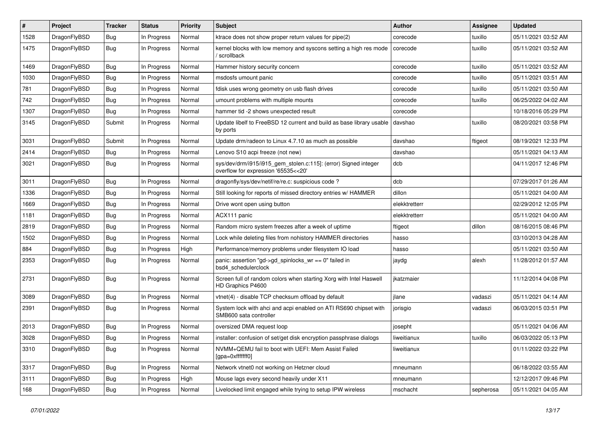| ∦    | Project      | <b>Tracker</b> | <b>Status</b> | <b>Priority</b> | <b>Subject</b>                                                                                         | <b>Author</b> | <b>Assignee</b> | <b>Updated</b>      |
|------|--------------|----------------|---------------|-----------------|--------------------------------------------------------------------------------------------------------|---------------|-----------------|---------------------|
| 1528 | DragonFlyBSD | <b>Bug</b>     | In Progress   | Normal          | ktrace does not show proper return values for pipe(2)                                                  | corecode      | tuxillo         | 05/11/2021 03:52 AM |
| 1475 | DragonFlyBSD | <b>Bug</b>     | In Progress   | Normal          | kernel blocks with low memory and syscons setting a high res mode<br>' scrollback                      | corecode      | tuxillo         | 05/11/2021 03:52 AM |
| 1469 | DragonFlyBSD | Bug            | In Progress   | Normal          | Hammer history security concern                                                                        | corecode      | tuxillo         | 05/11/2021 03:52 AM |
| 1030 | DragonFlyBSD | <b>Bug</b>     | In Progress   | Normal          | msdosfs umount panic                                                                                   | corecode      | tuxillo         | 05/11/2021 03:51 AM |
| 781  | DragonFlyBSD | Bug            | In Progress   | Normal          | fdisk uses wrong geometry on usb flash drives                                                          | corecode      | tuxillo         | 05/11/2021 03:50 AM |
| 742  | DragonFlyBSD | Bug            | In Progress   | Normal          | umount problems with multiple mounts                                                                   | corecode      | tuxillo         | 06/25/2022 04:02 AM |
| 1307 | DragonFlyBSD | <b>Bug</b>     | In Progress   | Normal          | hammer tid -2 shows unexpected result                                                                  | corecode      |                 | 10/18/2016 05:29 PM |
| 3145 | DragonFlyBSD | Submit         | In Progress   | Normal          | Update libelf to FreeBSD 12 current and build as base library usable<br>by ports                       | davshao       | tuxillo         | 08/20/2021 03:58 PM |
| 3031 | DragonFlyBSD | Submit         | In Progress   | Normal          | Update drm/radeon to Linux 4.7.10 as much as possible                                                  | davshao       | ftigeot         | 08/19/2021 12:33 PM |
| 2414 | DragonFlyBSD | Bug            | In Progress   | Normal          | Lenovo S10 acpi freeze (not new)                                                                       | davshao       |                 | 05/11/2021 04:13 AM |
| 3021 | DragonFlyBSD | <b>Bug</b>     | In Progress   | Normal          | sys/dev/drm/i915/i915_gem_stolen.c:115]: (error) Signed integer<br>overflow for expression '65535<<20' | dcb           |                 | 04/11/2017 12:46 PM |
| 3011 | DragonFlyBSD | Bug            | In Progress   | Normal          | dragonfly/sys/dev/netif/re/re.c: suspicious code?                                                      | dcb           |                 | 07/29/2017 01:26 AM |
| 1336 | DragonFlyBSD | <b>Bug</b>     | In Progress   | Normal          | Still looking for reports of missed directory entries w/ HAMMER                                        | dillon        |                 | 05/11/2021 04:00 AM |
| 1669 | DragonFlyBSD | <b>Bug</b>     | In Progress   | Normal          | Drive wont open using button                                                                           | elekktretterr |                 | 02/29/2012 12:05 PM |
| 1181 | DragonFlyBSD | <b>Bug</b>     | In Progress   | Normal          | ACX111 panic                                                                                           | elekktretterr |                 | 05/11/2021 04:00 AM |
| 2819 | DragonFlyBSD | <b>Bug</b>     | In Progress   | Normal          | Random micro system freezes after a week of uptime                                                     | ftigeot       | dillon          | 08/16/2015 08:46 PM |
| 1502 | DragonFlyBSD | Bug            | In Progress   | Normal          | Lock while deleting files from nohistory HAMMER directories                                            | hasso         |                 | 03/10/2013 04:28 AM |
| 884  | DragonFlyBSD | <b>Bug</b>     | In Progress   | High            | Performance/memory problems under filesystem IO load                                                   | hasso         |                 | 05/11/2021 03:50 AM |
| 2353 | DragonFlyBSD | <b>Bug</b>     | In Progress   | Normal          | panic: assertion "gd->gd_spinlocks_wr == 0" failed in<br>bsd4_schedulerclock                           | jaydg         | alexh           | 11/28/2012 01:57 AM |
| 2731 | DragonFlyBSD | Bug            | In Progress   | Normal          | Screen full of random colors when starting Xorg with Intel Haswell<br>HD Graphics P4600                | jkatzmaier    |                 | 11/12/2014 04:08 PM |
| 3089 | DragonFlyBSD | <b>Bug</b>     | In Progress   | Normal          | vtnet(4) - disable TCP checksum offload by default                                                     | jlane         | vadaszi         | 05/11/2021 04:14 AM |
| 2391 | DragonFlyBSD | <b>Bug</b>     | In Progress   | Normal          | System lock with ahci and acpi enabled on ATI RS690 chipset with<br>SMB600 sata controller             | jorisgio      | vadaszi         | 06/03/2015 03:51 PM |
| 2013 | DragonFlyBSD | Bug            | In Progress   | Normal          | oversized DMA request loop                                                                             | josepht       |                 | 05/11/2021 04:06 AM |
| 3028 | DragonFlvBSD | Bug            | In Progress   | Normal          | installer: confusion of set/get disk encryption passphrase dialogs                                     | liweitianux   | tuxillo         | 06/03/2022 05:13 PM |
| 3310 | DragonFlyBSD | <b>Bug</b>     | In Progress   | Normal          | NVMM+QEMU fail to boot with UEFI: Mem Assist Failed<br>[gpa=0xfffffff0]                                | liweitianux   |                 | 01/11/2022 03:22 PM |
| 3317 | DragonFlyBSD | <b>Bug</b>     | In Progress   | Normal          | Network vtnet0 not working on Hetzner cloud                                                            | mneumann      |                 | 06/18/2022 03:55 AM |
| 3111 | DragonFlyBSD | <b>Bug</b>     | In Progress   | High            | Mouse lags every second heavily under X11                                                              | mneumann      |                 | 12/12/2017 09:46 PM |
| 168  | DragonFlyBSD | <b>Bug</b>     | In Progress   | Normal          | Livelocked limit engaged while trying to setup IPW wireless                                            | mschacht      | sepherosa       | 05/11/2021 04:05 AM |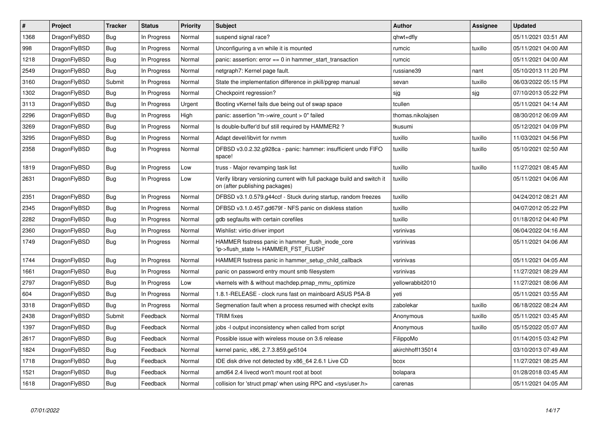| $\vert$ # | Project      | <b>Tracker</b> | <b>Status</b> | Priority | <b>Subject</b>                                                                                            | Author            | Assignee | <b>Updated</b>      |
|-----------|--------------|----------------|---------------|----------|-----------------------------------------------------------------------------------------------------------|-------------------|----------|---------------------|
| 1368      | DragonFlyBSD | <b>Bug</b>     | In Progress   | Normal   | suspend signal race?                                                                                      | qhwt+dfly         |          | 05/11/2021 03:51 AM |
| 998       | DragonFlyBSD | <b>Bug</b>     | In Progress   | Normal   | Unconfiguring a vn while it is mounted                                                                    | rumcic            | tuxillo  | 05/11/2021 04:00 AM |
| 1218      | DragonFlyBSD | <b>Bug</b>     | In Progress   | Normal   | panic: assertion: $error == 0$ in hammer start transaction                                                | rumcic            |          | 05/11/2021 04:00 AM |
| 2549      | DragonFlyBSD | Bug            | In Progress   | Normal   | netgraph7: Kernel page fault.                                                                             | russiane39        | nant     | 05/10/2013 11:20 PM |
| 3160      | DragonFlyBSD | Submit         | In Progress   | Normal   | State the implementation difference in pkill/pgrep manual                                                 | sevan             | tuxillo  | 06/03/2022 05:15 PM |
| 1302      | DragonFlyBSD | <b>Bug</b>     | In Progress   | Normal   | Checkpoint regression?                                                                                    | sjg               | sjg      | 07/10/2013 05:22 PM |
| 3113      | DragonFlyBSD | Bug            | In Progress   | Urgent   | Booting vKernel fails due being out of swap space                                                         | tcullen           |          | 05/11/2021 04:14 AM |
| 2296      | DragonFlyBSD | <b>Bug</b>     | In Progress   | High     | panic: assertion "m->wire_count > 0" failed                                                               | thomas.nikolajsen |          | 08/30/2012 06:09 AM |
| 3269      | DragonFlyBSD | Bug            | In Progress   | Normal   | Is double-buffer'd buf still required by HAMMER2?                                                         | tkusumi           |          | 05/12/2021 04:09 PM |
| 3295      | DragonFlyBSD | <b>Bug</b>     | In Progress   | Normal   | Adapt devel/libvirt for nvmm                                                                              | tuxillo           | tuxillo  | 11/03/2021 04:56 PM |
| 2358      | DragonFlyBSD | Bug            | In Progress   | Normal   | DFBSD v3.0.2.32.g928ca - panic: hammer: insufficient undo FIFO<br>space!                                  | tuxillo           | tuxillo  | 05/10/2021 02:50 AM |
| 1819      | DragonFlyBSD | <b>Bug</b>     | In Progress   | Low      | truss - Major revamping task list                                                                         | tuxillo           | tuxillo  | 11/27/2021 08:45 AM |
| 2631      | DragonFlyBSD | <b>Bug</b>     | In Progress   | Low      | Verify library versioning current with full package build and switch it<br>on (after publishing packages) | tuxillo           |          | 05/11/2021 04:06 AM |
| 2351      | DragonFlyBSD | <b>Bug</b>     | In Progress   | Normal   | DFBSD v3.1.0.579.g44ccf - Stuck during startup, random freezes                                            | tuxillo           |          | 04/24/2012 08:21 AM |
| 2345      | DragonFlyBSD | Bug            | In Progress   | Normal   | DFBSD v3.1.0.457.gd679f - NFS panic on diskless station                                                   | tuxillo           |          | 04/07/2012 05:22 PM |
| 2282      | DragonFlyBSD | <b>Bug</b>     | In Progress   | Normal   | gdb segfaults with certain corefiles                                                                      | tuxillo           |          | 01/18/2012 04:40 PM |
| 2360      | DragonFlyBSD | <b>Bug</b>     | In Progress   | Normal   | Wishlist: virtio driver import                                                                            | vsrinivas         |          | 06/04/2022 04:16 AM |
| 1749      | DragonFlyBSD | Bug            | In Progress   | Normal   | HAMMER fsstress panic in hammer flush inode core<br>'ip->flush_state != HAMMER_FST_FLUSH'                 | vsrinivas         |          | 05/11/2021 04:06 AM |
| 1744      | DragonFlyBSD | <b>Bug</b>     | In Progress   | Normal   | HAMMER fsstress panic in hammer setup child callback                                                      | vsrinivas         |          | 05/11/2021 04:05 AM |
| 1661      | DragonFlyBSD | <b>Bug</b>     | In Progress   | Normal   | panic on password entry mount smb filesystem                                                              | vsrinivas         |          | 11/27/2021 08:29 AM |
| 2797      | DragonFlyBSD | Bug            | In Progress   | Low      | vkernels with & without machdep.pmap_mmu_optimize                                                         | yellowrabbit2010  |          | 11/27/2021 08:06 AM |
| 604       | DragonFlyBSD | <b>Bug</b>     | In Progress   | Normal   | 1.8.1-RELEASE - clock runs fast on mainboard ASUS P5A-B                                                   | yeti              |          | 05/11/2021 03:55 AM |
| 3318      | DragonFlyBSD | <b>Bug</b>     | In Progress   | Normal   | Segmenation fault when a process resumed with checkpt exits                                               | zabolekar         | tuxillo  | 06/18/2022 08:24 AM |
| 2438      | DragonFlyBSD | Submit         | Feedback      | Normal   | <b>TRIM</b> fixes                                                                                         | Anonymous         | tuxillo  | 05/11/2021 03:45 AM |
| 1397      | DragonFlyBSD | <b>Bug</b>     | Feedback      | Normal   | jobs -I output inconsistency when called from script                                                      | Anonymous         | tuxillo  | 05/15/2022 05:07 AM |
| 2617      | DragonFlyBSD | <b>Bug</b>     | Feedback      | Normal   | Possible issue with wireless mouse on 3.6 release                                                         | FilippoMo         |          | 01/14/2015 03:42 PM |
| 1824      | DragonFlyBSD | <b>Bug</b>     | Feedback      | Normal   | kernel panic, x86, 2.7.3.859.ge5104                                                                       | akirchhoff135014  |          | 03/10/2013 07:49 AM |
| 1718      | DragonFlyBSD | Bug            | Feedback      | Normal   | IDE disk drive not detected by x86 64 2.6.1 Live CD                                                       | bcox              |          | 11/27/2021 08:25 AM |
| 1521      | DragonFlyBSD | <b>Bug</b>     | Feedback      | Normal   | amd64 2.4 livecd won't mount root at boot                                                                 | bolapara          |          | 01/28/2018 03:45 AM |
| 1618      | DragonFlyBSD | Bug            | Feedback      | Normal   | collision for 'struct pmap' when using RPC and <sys user.h=""></sys>                                      | carenas           |          | 05/11/2021 04:05 AM |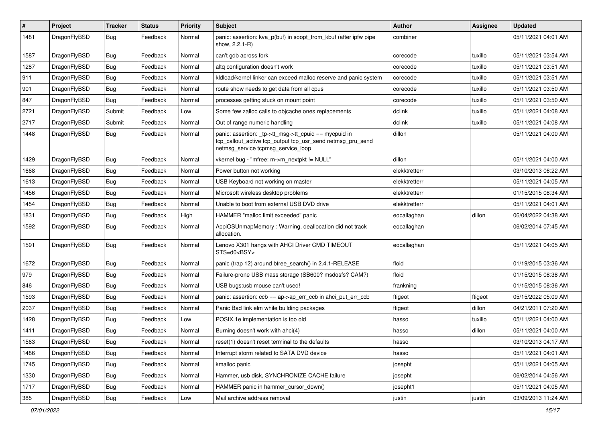| $\sharp$ | Project      | <b>Tracker</b> | <b>Status</b> | <b>Priority</b> | Subject                                                                                                                                                   | Author        | Assignee | <b>Updated</b>      |
|----------|--------------|----------------|---------------|-----------------|-----------------------------------------------------------------------------------------------------------------------------------------------------------|---------------|----------|---------------------|
| 1481     | DragonFlyBSD | <b>Bug</b>     | Feedback      | Normal          | panic: assertion: kva_p(buf) in soopt_from_kbuf (after ipfw pipe<br>show, 2.2.1-R)                                                                        | combiner      |          | 05/11/2021 04:01 AM |
| 1587     | DragonFlyBSD | <b>Bug</b>     | Feedback      | Normal          | can't gdb across fork                                                                                                                                     | corecode      | tuxillo  | 05/11/2021 03:54 AM |
| 1287     | DragonFlyBSD | Bug            | Feedback      | Normal          | altg configuration doesn't work                                                                                                                           | corecode      | tuxillo  | 05/11/2021 03:51 AM |
| 911      | DragonFlyBSD | <b>Bug</b>     | Feedback      | Normal          | kldload/kernel linker can exceed malloc reserve and panic system                                                                                          | corecode      | tuxillo  | 05/11/2021 03:51 AM |
| 901      | DragonFlyBSD | Bug            | Feedback      | Normal          | route show needs to get data from all cpus                                                                                                                | corecode      | tuxillo  | 05/11/2021 03:50 AM |
| 847      | DragonFlyBSD | <b>Bug</b>     | Feedback      | Normal          | processes getting stuck on mount point                                                                                                                    | corecode      | tuxillo  | 05/11/2021 03:50 AM |
| 2721     | DragonFlyBSD | Submit         | Feedback      | Low             | Some few zalloc calls to objcache ones replacements                                                                                                       | dclink        | tuxillo  | 05/11/2021 04:08 AM |
| 2717     | DragonFlyBSD | Submit         | Feedback      | Normal          | Out of range numeric handling                                                                                                                             | dclink        | tuxillo  | 05/11/2021 04:08 AM |
| 1448     | DragonFlyBSD | Bug            | Feedback      | Normal          | panic: assertion: _tp->tt_msg->tt_cpuid == mycpuid in<br>tcp_callout_active tcp_output tcp_usr_send netmsg_pru_send<br>netmsg_service tcpmsg_service_loop | dillon        |          | 05/11/2021 04:00 AM |
| 1429     | DragonFlyBSD | <b>Bug</b>     | Feedback      | Normal          | vkernel bug - "mfree: m->m_nextpkt != NULL"                                                                                                               | dillon        |          | 05/11/2021 04:00 AM |
| 1668     | DragonFlyBSD | Bug            | Feedback      | Normal          | Power button not working                                                                                                                                  | elekktretterr |          | 03/10/2013 06:22 AM |
| 1613     | DragonFlyBSD | <b>Bug</b>     | Feedback      | Normal          | USB Keyboard not working on master                                                                                                                        | elekktretterr |          | 05/11/2021 04:05 AM |
| 1456     | DragonFlyBSD | <b>Bug</b>     | Feedback      | Normal          | Microsoft wireless desktop problems                                                                                                                       | elekktretterr |          | 01/15/2015 08:34 AM |
| 1454     | DragonFlyBSD | Bug            | Feedback      | Normal          | Unable to boot from external USB DVD drive                                                                                                                | elekktretterr |          | 05/11/2021 04:01 AM |
| 1831     | DragonFlyBSD | Bug            | Feedback      | High            | HAMMER "malloc limit exceeded" panic                                                                                                                      | eocallaghan   | dillon   | 06/04/2022 04:38 AM |
| 1592     | DragonFlyBSD | <b>Bug</b>     | Feedback      | Normal          | AcpiOSUnmapMemory: Warning, deallocation did not track<br>allocation.                                                                                     | eocallaghan   |          | 06/02/2014 07:45 AM |
| 1591     | DragonFlyBSD | Bug            | Feedback      | Normal          | Lenovo X301 hangs with AHCI Driver CMD TIMEOUT<br>STS=d0 <bsy></bsy>                                                                                      | eocallaghan   |          | 05/11/2021 04:05 AM |
| 1672     | DragonFlyBSD | Bug            | Feedback      | Normal          | panic (trap 12) around btree_search() in 2.4.1-RELEASE                                                                                                    | floid         |          | 01/19/2015 03:36 AM |
| 979      | DragonFlyBSD | Bug            | Feedback      | Normal          | Failure-prone USB mass storage (SB600? msdosfs? CAM?)                                                                                                     | floid         |          | 01/15/2015 08:38 AM |
| 846      | DragonFlyBSD | Bug            | Feedback      | Normal          | USB bugs:usb mouse can't used!                                                                                                                            | frankning     |          | 01/15/2015 08:36 AM |
| 1593     | DragonFlyBSD | Bug            | Feedback      | Normal          | panic: assertion: ccb == ap->ap_err_ccb in ahci_put_err_ccb                                                                                               | ftigeot       | ftigeot  | 05/15/2022 05:09 AM |
| 2037     | DragonFlyBSD | Bug            | Feedback      | Normal          | Panic Bad link elm while building packages                                                                                                                | ftigeot       | dillon   | 04/21/2011 07:20 AM |
| 1428     | DragonFlyBSD | Bug            | Feedback      | Low             | POSIX.1e implementation is too old                                                                                                                        | hasso         | tuxillo  | 05/11/2021 04:00 AM |
| 1411     | DragonFlyBSD | Bug            | Feedback      | Normal          | Burning doesn't work with ahci(4)                                                                                                                         | hasso         | dillon   | 05/11/2021 04:00 AM |
| 1563     | DragonFlyBSD | <b>Bug</b>     | Feedback      | Normal          | reset(1) doesn't reset terminal to the defaults                                                                                                           | hasso         |          | 03/10/2013 04:17 AM |
| 1486     | DragonFlyBSD | <b>Bug</b>     | Feedback      | Normal          | Interrupt storm related to SATA DVD device                                                                                                                | hasso         |          | 05/11/2021 04:01 AM |
| 1745     | DragonFlyBSD | <b>Bug</b>     | Feedback      | Normal          | kmalloc panic                                                                                                                                             | josepht       |          | 05/11/2021 04:05 AM |
| 1330     | DragonFlyBSD | <b>Bug</b>     | Feedback      | Normal          | Hammer, usb disk, SYNCHRONIZE CACHE failure                                                                                                               | josepht       |          | 06/02/2014 04:56 AM |
| 1717     | DragonFlyBSD | <b>Bug</b>     | Feedback      | Normal          | HAMMER panic in hammer_cursor_down()                                                                                                                      | josepht1      |          | 05/11/2021 04:05 AM |
| 385      | DragonFlyBSD | <b>Bug</b>     | Feedback      | Low             | Mail archive address removal                                                                                                                              | justin        | justin   | 03/09/2013 11:24 AM |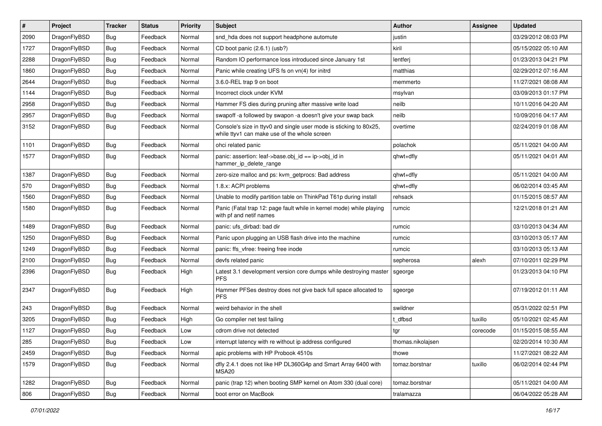| $\sharp$ | Project      | <b>Tracker</b> | <b>Status</b> | <b>Priority</b> | Subject                                                                                                            | Author            | Assignee | <b>Updated</b>      |
|----------|--------------|----------------|---------------|-----------------|--------------------------------------------------------------------------------------------------------------------|-------------------|----------|---------------------|
| 2090     | DragonFlyBSD | Bug            | Feedback      | Normal          | snd_hda does not support headphone automute                                                                        | justin            |          | 03/29/2012 08:03 PM |
| 1727     | DragonFlyBSD | Bug            | Feedback      | Normal          | CD boot panic (2.6.1) (usb?)                                                                                       | kiril             |          | 05/15/2022 05:10 AM |
| 2288     | DragonFlyBSD | <b>Bug</b>     | Feedback      | Normal          | Random IO performance loss introduced since January 1st                                                            | lentferj          |          | 01/23/2013 04:21 PM |
| 1860     | DragonFlyBSD | Bug            | Feedback      | Normal          | Panic while creating UFS fs on vn(4) for initrd                                                                    | matthias          |          | 02/29/2012 07:16 AM |
| 2644     | DragonFlyBSD | Bug            | Feedback      | Normal          | 3.6.0-REL trap 9 on boot                                                                                           | memmerto          |          | 11/27/2021 08:08 AM |
| 1144     | DragonFlyBSD | Bug            | Feedback      | Normal          | Incorrect clock under KVM                                                                                          | msylvan           |          | 03/09/2013 01:17 PM |
| 2958     | DragonFlyBSD | Bug            | Feedback      | Normal          | Hammer FS dies during pruning after massive write load                                                             | neilb             |          | 10/11/2016 04:20 AM |
| 2957     | DragonFlyBSD | Bug            | Feedback      | Normal          | swapoff -a followed by swapon -a doesn't give your swap back                                                       | neilb             |          | 10/09/2016 04:17 AM |
| 3152     | DragonFlyBSD | Bug            | Feedback      | Normal          | Console's size in ttyv0 and single user mode is sticking to 80x25,<br>while ttyv1 can make use of the whole screen | overtime          |          | 02/24/2019 01:08 AM |
| 1101     | DragonFlyBSD | Bug            | Feedback      | Normal          | ohci related panic                                                                                                 | polachok          |          | 05/11/2021 04:00 AM |
| 1577     | DragonFlyBSD | Bug            | Feedback      | Normal          | panic: assertion: leaf->base.obj_id == ip->obj_id in<br>hammer_ip_delete_range                                     | qhwt+dfly         |          | 05/11/2021 04:01 AM |
| 1387     | DragonFlyBSD | Bug            | Feedback      | Normal          | zero-size malloc and ps: kvm_getprocs: Bad address                                                                 | qhwt+dfly         |          | 05/11/2021 04:00 AM |
| 570      | DragonFlyBSD | Bug            | Feedback      | Normal          | 1.8.x: ACPI problems                                                                                               | qhwt+dfly         |          | 06/02/2014 03:45 AM |
| 1560     | DragonFlyBSD | Bug            | Feedback      | Normal          | Unable to modify partition table on ThinkPad T61p during install                                                   | rehsack           |          | 01/15/2015 08:57 AM |
| 1580     | DragonFlyBSD | Bug            | Feedback      | Normal          | Panic (Fatal trap 12: page fault while in kernel mode) while playing<br>with pf and netif names                    | rumcic            |          | 12/21/2018 01:21 AM |
| 1489     | DragonFlyBSD | Bug            | Feedback      | Normal          | panic: ufs dirbad: bad dir                                                                                         | rumcic            |          | 03/10/2013 04:34 AM |
| 1250     | DragonFlyBSD | Bug            | Feedback      | Normal          | Panic upon plugging an USB flash drive into the machine                                                            | rumcic            |          | 03/10/2013 05:17 AM |
| 1249     | DragonFlyBSD | Bug            | Feedback      | Normal          | panic: ffs vfree: freeing free inode                                                                               | rumcic            |          | 03/10/2013 05:13 AM |
| 2100     | DragonFlyBSD | Bug            | Feedback      | Normal          | devfs related panic                                                                                                | sepherosa         | alexh    | 07/10/2011 02:29 PM |
| 2396     | DragonFlyBSD | Bug            | Feedback      | High            | Latest 3.1 development version core dumps while destroying master<br><b>PFS</b>                                    | sgeorge           |          | 01/23/2013 04:10 PM |
| 2347     | DragonFlyBSD | Bug            | Feedback      | High            | Hammer PFSes destroy does not give back full space allocated to<br><b>PFS</b>                                      | sgeorge           |          | 07/19/2012 01:11 AM |
| 243      | DragonFlyBSD | Bug            | Feedback      | Normal          | weird behavior in the shell                                                                                        | swildner          |          | 05/31/2022 02:51 PM |
| 3205     | DragonFlyBSD | Bug            | Feedback      | High            | Go compiler net test failing                                                                                       | t dfbsd           | tuxillo  | 05/10/2021 02:45 AM |
| 1127     | DragonFlyBSD | Bug            | Feedback      | Low             | cdrom drive not detected                                                                                           | tgr               | corecode | 01/15/2015 08:55 AM |
| 285      | DragonFlyBSD | <b>Bug</b>     | Feedback      | Low             | interrupt latency with re without ip address configured                                                            | thomas.nikolajsen |          | 02/20/2014 10:30 AM |
| 2459     | DragonFlyBSD | <b>Bug</b>     | Feedback      | Normal          | apic problems with HP Probook 4510s                                                                                | thowe             |          | 11/27/2021 08:22 AM |
| 1579     | DragonFlyBSD | <b>Bug</b>     | Feedback      | Normal          | dfly 2.4.1 does not like HP DL360G4p and Smart Array 6400 with<br>MSA <sub>20</sub>                                | tomaz.borstnar    | tuxillo  | 06/02/2014 02:44 PM |
| 1282     | DragonFlyBSD | <b>Bug</b>     | Feedback      | Normal          | panic (trap 12) when booting SMP kernel on Atom 330 (dual core)                                                    | tomaz.borstnar    |          | 05/11/2021 04:00 AM |
| 806      | DragonFlyBSD | <b>Bug</b>     | Feedback      | Normal          | boot error on MacBook                                                                                              | tralamazza        |          | 06/04/2022 05:28 AM |